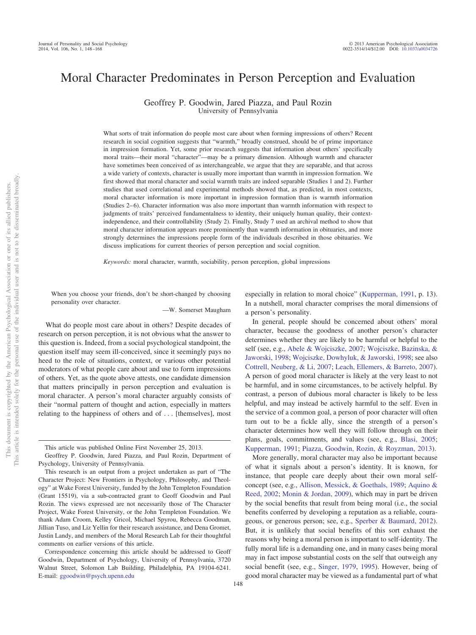# Moral Character Predominates in Person Perception and Evaluation

Geoffrey P. Goodwin, Jared Piazza, and Paul Rozin University of Pennsylvania

What sorts of trait information do people most care about when forming impressions of others? Recent research in social cognition suggests that "warmth," broadly construed, should be of prime importance in impression formation. Yet, some prior research suggests that information about others' specifically moral traits—their moral "character"—may be a primary dimension. Although warmth and character have sometimes been conceived of as interchangeable, we argue that they are separable, and that across a wide variety of contexts, character is usually more important than warmth in impression formation. We first showed that moral character and social warmth traits are indeed separable (Studies 1 and 2). Further studies that used correlational and experimental methods showed that, as predicted, in most contexts, moral character information is more important in impression formation than is warmth information (Studies 2– 6). Character information was also more important than warmth information with respect to judgments of traits' perceived fundamentalness to identity, their uniquely human quality, their contextindependence, and their controllability (Study 2). Finally, Study 7 used an archival method to show that moral character information appears more prominently than warmth information in obituaries, and more strongly determines the impressions people form of the individuals described in those obituaries. We discuss implications for current theories of person perception and social cognition.

*Keywords:* moral character, warmth, sociability, person perception, global impressions

When you choose your friends, don't be short-changed by choosing personality over character.

—W. Somerset Maugham

What do people most care about in others? Despite decades of research on person perception, it is not obvious what the answer to this question is. Indeed, from a social psychological standpoint, the question itself may seem ill-conceived, since it seemingly pays no heed to the role of situations, context, or various other potential moderators of what people care about and use to form impressions of others. Yet, as the quote above attests, one candidate dimension that matters principally in person perception and evaluation is moral character. A person's moral character arguably consists of their "normal pattern of thought and action, especially in matters relating to the happiness of others and of . . . [themselves], most

Correspondence concerning this article should be addressed to Geoff Goodwin, Department of Psychology, University of Pennsylvania, 3720 Walnut Street, Solomon Lab Building, Philadelphia, PA 19104-6241. E-mail: [ggoodwin@psych.upenn.edu](mailto:ggoodwin@psych.upenn.edu)

especially in relation to moral choice" [\(Kupperman, 1991,](#page-19-0) p. 13). In a nutshell, moral character comprises the moral dimensions of a person's personality.

In general, people should be concerned about others' moral character, because the goodness of another person's character determines whether they are likely to be harmful or helpful to the self (see, e.g., [Abele & Wojciszke, 2007;](#page-18-0) [Wojciszke, Bazinska, &](#page-19-1) [Jaworski, 1998;](#page-19-1) [Wojciszke, Dowhyluk, & Jaworski, 1998;](#page-19-2) see also [Cottrell, Neuberg, & Li, 2007;](#page-18-1) [Leach, Ellemers, & Barreto, 2007\)](#page-19-3). A person of good moral character is likely at the very least to not be harmful, and in some circumstances, to be actively helpful. By contrast, a person of dubious moral character is likely to be less helpful, and may instead be actively harmful to the self. Even in the service of a common goal, a person of poor character will often turn out to be a fickle ally, since the strength of a person's character determines how well they will follow through on their plans, goals, commitments, and values (see, e.g., [Blasi, 2005;](#page-18-2) [Kupperman, 1991;](#page-19-0) [Piazza, Goodwin, Rozin, & Royzman, 2013\)](#page-19-4).

More generally, moral character may also be important because of what it signals about a person's identity. It is known, for instance, that people care deeply about their own moral selfconcept (see, e.g., [Allison, Messick, & Goethals, 1989;](#page-18-3) [Aquino &](#page-18-4) [Reed, 2002;](#page-18-4) [Monin & Jordan, 2009\)](#page-19-5), which may in part be driven by the social benefits that result from being moral (i.e., the social benefits conferred by developing a reputation as a reliable, courageous, or generous person; see, e.g., [Sperber & Baumard, 2012\)](#page-19-6). But, it is unlikely that social benefits of this sort exhaust the reasons why being a moral person is important to self-identity. The fully moral life is a demanding one, and in many cases being moral may in fact impose substantial costs on the self that outweigh any social benefit (see, e.g., [Singer, 1979,](#page-19-7) [1995\)](#page-19-8). However, being of good moral character may be viewed as a fundamental part of what

This article was published Online First November 25, 2013.

Geoffrey P. Goodwin, Jared Piazza, and Paul Rozin, Department of Psychology, University of Pennsylvania.

This research is an output from a project undertaken as part of "The Character Project: New Frontiers in Psychology, Philosophy, and Theology" at Wake Forest University, funded by the John Templeton Foundation (Grant 15519), via a sub-contracted grant to Geoff Goodwin and Paul Rozin. The views expressed are not necessarily those of The Character Project, Wake Forest University, or the John Templeton Foundation. We thank Adam Croom, Kelley Gricol, Michael Spyrou, Rebecca Goodman, Jillian Tuso, and Liz Yellin for their research assistance, and Dena Gromet, Justin Landy, and members of the Moral Research Lab for their thoughtful comments on earlier versions of this article.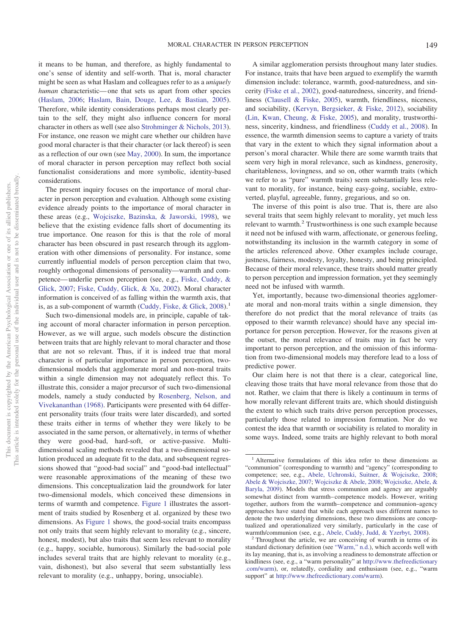it means to be human, and therefore, as highly fundamental to one's sense of identity and self-worth. That is, moral character might be seen as what Haslam and colleagues refer to as a *uniquely human* characteristic— one that sets us apart from other species [\(Haslam, 2006;](#page-19-9) [Haslam, Bain, Douge, Lee, & Bastian, 2005\)](#page-19-10). Therefore, while identity considerations perhaps most clearly pertain to the self, they might also influence concern for moral character in others as well (see also [Strohminger & Nichols, 2013\)](#page-19-11). For instance, one reason we might care whether our children have good moral character is that their character (or lack thereof) is seen as a reflection of our own (see [May, 2000\)](#page-19-12). In sum, the importance of moral character in person perception may reflect both social functionalist considerations and more symbolic, identity-based considerations.

The present inquiry focuses on the importance of moral character in person perception and evaluation. Although some existing evidence already points to the importance of moral character in these areas (e.g., [Wojciszke, Bazinska, & Jaworski, 1998\)](#page-19-1), we believe that the existing evidence falls short of documenting its true importance. One reason for this is that the role of moral character has been obscured in past research through its agglomeration with other dimensions of personality. For instance, some currently influential models of person perception claim that two, roughly orthogonal dimensions of personality—warmth and competence— underlie person perception (see, e.g., [Fiske, Cuddy, &](#page-18-5) [Glick, 2007;](#page-18-5) [Fiske, Cuddy, Glick, & Xu, 2002\)](#page-18-6). Moral character information is conceived of as falling within the warmth axis, that is, as a sub-component of warmth (Cuddy, Fiske,  $\&$  Glick, 2008).<sup>1</sup>

Such two-dimensional models are, in principle, capable of taking account of moral character information in person perception. However, as we will argue, such models obscure the distinction between traits that are highly relevant to moral character and those that are not so relevant. Thus, if it is indeed true that moral character is of particular importance in person perception, twodimensional models that agglomerate moral and non-moral traits within a single dimension may not adequately reflect this. To illustrate this, consider a major precursor of such two-dimensional models, namely a study conducted by [Rosenberg, Nelson, and](#page-19-13) [Vivekananthan \(1968\).](#page-19-13) Participants were presented with 64 different personality traits (four traits were later discarded), and sorted these traits either in terms of whether they were likely to be associated in the same person, or alternatively, in terms of whether they were good-bad, hard-soft, or active-passive. Multidimensional scaling methods revealed that a two-dimensional solution produced an adequate fit to the data, and subsequent regressions showed that "good-bad social" and "good-bad intellectual" were reasonable approximations of the meaning of these two dimensions. This conceptualization laid the groundwork for later two-dimensional models, which conceived these dimensions in terms of warmth and competence. [Figure 1](#page-2-0) illustrates the assortment of traits studied by Rosenberg et al. organized by these two dimensions. As [Figure 1](#page-2-0) shows, the good-social traits encompass not only traits that seem highly relevant to morality (e.g., sincere, honest, modest), but also traits that seem less relevant to morality (e.g., happy, sociable, humorous). Similarly the bad-social pole includes several traits that are highly relevant to morality (e.g., vain, dishonest), but also several that seem substantially less relevant to morality (e.g., unhappy, boring, unsociable).

A similar agglomeration persists throughout many later studies. For instance, traits that have been argued to exemplify the warmth dimension include: tolerance, warmth, good-naturedness, and sincerity [\(Fiske et al., 2002\)](#page-18-6), good-naturedness, sincerity, and friendliness [\(Clausell & Fiske, 2005\)](#page-18-8), warmth, friendliness, niceness, and sociability, [\(Kervyn, Bergsieker, & Fiske, 2012\)](#page-19-14), sociability [\(Lin, Kwan, Cheung, & Fiske, 2005\)](#page-19-15), and morality, trustworthiness, sincerity, kindness, and friendliness [\(Cuddy et al., 2008\)](#page-18-7). In essence, the warmth dimension seems to capture a variety of traits that vary in the extent to which they signal information about a person's moral character. While there are some warmth traits that seem very high in moral relevance, such as kindness, generosity, charitableness, lovingness, and so on, other warmth traits (which we refer to as "pure" warmth traits) seem substantially less relevant to morality, for instance, being easy-going, sociable, extroverted, playful, agreeable, funny, gregarious, and so on.

The inverse of this point is also true. That is, there are also several traits that seem highly relevant to morality, yet much less relevant to warmth.<sup>2</sup> Trustworthiness is one such example because it need not be infused with warm, affectionate, or generous feeling, notwithstanding its inclusion in the warmth category in some of the articles referenced above. Other examples include courage, justness, fairness, modesty, loyalty, honesty, and being principled. Because of their moral relevance, these traits should matter greatly to person perception and impression formation, yet they seemingly need not be infused with warmth.

Yet, importantly, because two-dimensional theories agglomerate moral and non-moral traits within a single dimension, they therefore do not predict that the moral relevance of traits (as opposed to their warmth relevance) should have any special importance for person perception. However, for the reasons given at the outset, the moral relevance of traits may in fact be very important to person perception, and the omission of this information from two-dimensional models may therefore lead to a loss of predictive power.

Our claim here is not that there is a clear, categorical line, cleaving those traits that have moral relevance from those that do not. Rather, we claim that there is likely a continuum in terms of how morally relevant different traits are, which should distinguish the extent to which such traits drive person perception processes, particularly those related to impression formation. Nor do we contest the idea that warmth or sociability is related to morality in some ways. Indeed, some traits are highly relevant to both moral

<sup>1</sup> Alternative formulations of this idea refer to these dimensions as "communion" (corresponding to warmth) and "agency" (corresponding to competence; see, e.g., [Abele, Uchronski, Suitner, & Wojciszke, 2008;](#page-18-9) [Abele & Wojciszke, 2007;](#page-18-0) [Wojciszke & Abele, 2008;](#page-19-16) [Wojciszke, Abele, &](#page-19-17) [Baryla, 2009\)](#page-19-17). Models that stress communion and agency are arguably somewhat distinct from warmth– competence models. However, writing together, authors from the warmth– competence and communion–agency approaches have stated that while each approach uses different names to denote the two underlying dimensions, these two dimensions are conceptualized and operationalized very similarly, particularly in the case of warmth/communion (see, e.g., [Abele, Cuddy, Judd, & Yzerbyt, 2008\)](#page-18-10).<br><sup>2</sup> Throughout the article, we are conceiving of warmth in terms of its

standard dictionary definition (see ["Warm," n.d.\)](#page-19-18), which accords well with its lay meaning, that is, as involving a readiness to demonstrate affection or kindliness (see, e.g., a "warm personality" at [http://www.thefreedictionary](http://www.thefreedictionary.com/warm) [.com/warm\)](http://www.thefreedictionary.com/warm), or, relatedly, cordiality and enthusiasm (see, e.g., "warm support" at [http://www.thefreedictionary.com/warm\)](http://www.thefreedictionary.com/warm).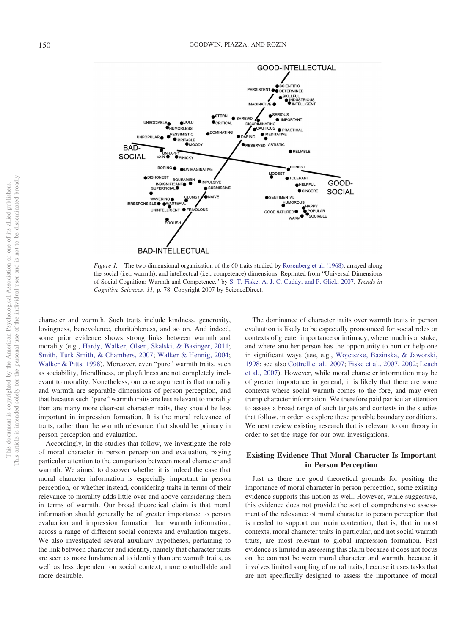

<span id="page-2-0"></span>*Figure 1.* The two-dimensional organization of the 60 traits studied by [Rosenberg et al. \(1968\),](#page-19-13) arrayed along the social (i.e., warmth), and intellectual (i.e., competence) dimensions. Reprinted from "Universal Dimensions of Social Cognition: Warmth and Competence," by [S. T. Fiske, A. J. C. Cuddy, and P. Glick, 2007,](#page-18-5) *Trends in Cognitive Sciences, 11*, p. 78. Copyright 2007 by ScienceDirect.

character and warmth. Such traits include kindness, generosity, lovingness, benevolence, charitableness, and so on. And indeed, some prior evidence shows strong links between warmth and morality (e.g., [Hardy, Walker, Olsen, Skalski, & Basinger, 2011;](#page-19-19) [Smith, Türk Smith, & Chambers, 2007;](#page-19-20) [Walker & Hennig, 2004;](#page-19-21) [Walker & Pitts, 1998\)](#page-19-22). Moreover, even "pure" warmth traits, such as sociability, friendliness, or playfulness are not completely irrelevant to morality. Nonetheless, our core argument is that morality and warmth are separable dimensions of person perception, and that because such "pure" warmth traits are less relevant to morality than are many more clear-cut character traits, they should be less important in impression formation. It is the moral relevance of traits, rather than the warmth relevance, that should be primary in person perception and evaluation.

Accordingly, in the studies that follow, we investigate the role of moral character in person perception and evaluation, paying particular attention to the comparison between moral character and warmth. We aimed to discover whether it is indeed the case that moral character information is especially important in person perception, or whether instead, considering traits in terms of their relevance to morality adds little over and above considering them in terms of warmth. Our broad theoretical claim is that moral information should generally be of greater importance to person evaluation and impression formation than warmth information, across a range of different social contexts and evaluation targets. We also investigated several auxiliary hypotheses, pertaining to the link between character and identity, namely that character traits are seen as more fundamental to identity than are warmth traits, as well as less dependent on social context, more controllable and more desirable.

The dominance of character traits over warmth traits in person evaluation is likely to be especially pronounced for social roles or contexts of greater importance or intimacy, where much is at stake, and where another person has the opportunity to hurt or help one in significant ways (see, e.g., [Wojciszke, Bazinska, & Jaworski,](#page-19-1) [1998;](#page-19-1) see also [Cottrell et al., 2007;](#page-18-1) [Fiske et al., 2007,](#page-18-5) [2002;](#page-18-6) [Leach](#page-19-3) [et al., 2007\)](#page-19-3). However, while moral character information may be of greater importance in general, it is likely that there are some contexts where social warmth comes to the fore, and may even trump character information. We therefore paid particular attention to assess a broad range of such targets and contexts in the studies that follow, in order to explore these possible boundary conditions. We next review existing research that is relevant to our theory in order to set the stage for our own investigations.

# **Existing Evidence That Moral Character Is Important in Person Perception**

Just as there are good theoretical grounds for positing the importance of moral character in person perception, some existing evidence supports this notion as well. However, while suggestive, this evidence does not provide the sort of comprehensive assessment of the relevance of moral character to person perception that is needed to support our main contention, that is, that in most contexts, moral character traits in particular, and not social warmth traits, are most relevant to global impression formation. Past evidence is limited in assessing this claim because it does not focus on the contrast between moral character and warmth, because it involves limited sampling of moral traits, because it uses tasks that are not specifically designed to assess the importance of moral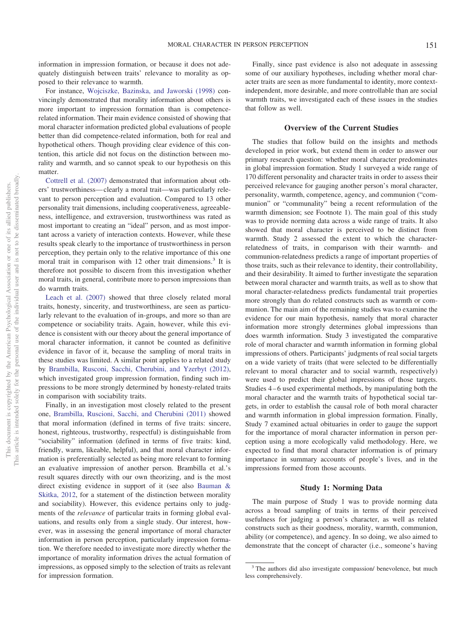information in impression formation, or because it does not adequately distinguish between traits' relevance to morality as opposed to their relevance to warmth.

For instance, [Wojciszke, Bazinska, and Jaworski \(1998\)](#page-19-1) convincingly demonstrated that morality information about others is more important to impression formation than is competencerelated information. Their main evidence consisted of showing that moral character information predicted global evaluations of people better than did competence-related information, both for real and hypothetical others. Though providing clear evidence of this contention, this article did not focus on the distinction between morality and warmth, and so cannot speak to our hypothesis on this matter.

[Cottrell et al. \(2007\)](#page-18-1) demonstrated that information about others' trustworthiness— clearly a moral trait—was particularly relevant to person perception and evaluation. Compared to 13 other personality trait dimensions, including cooperativeness, agreeableness, intelligence, and extraversion, trustworthiness was rated as most important to creating an "ideal" person, and as most important across a variety of interaction contexts. However, while these results speak clearly to the importance of trustworthiness in person perception, they pertain only to the relative importance of this one moral trait in comparison with 12 other trait dimensions.<sup>3</sup> It is therefore not possible to discern from this investigation whether moral traits, in general, contribute more to person impressions than do warmth traits.

[Leach et al. \(2007\)](#page-19-3) showed that three closely related moral traits, honesty, sincerity, and trustworthiness, are seen as particularly relevant to the evaluation of in-groups, and more so than are competence or sociability traits. Again, however, while this evidence is consistent with our theory about the general importance of moral character information, it cannot be counted as definitive evidence in favor of it, because the sampling of moral traits in these studies was limited. A similar point applies to a related study by [Brambilla, Rusconi, Sacchi, Cherubini, and Yzerbyt \(2012\),](#page-18-11) which investigated group impression formation, finding such impressions to be more strongly determined by honesty-related traits in comparison with sociability traits.

Finally, in an investigation most closely related to the present one, [Brambilla, Ruscioni, Sacchi, and Cherubini \(2011\)](#page-18-12) showed that moral information (defined in terms of five traits: sincere, honest, righteous, trustworthy, respectful) is distinguishable from "sociability" information (defined in terms of five traits: kind, friendly, warm, likeable, helpful), and that moral character information is preferentially selected as being more relevant to forming an evaluative impression of another person. Brambilla et al.'s result squares directly with our own theorizing, and is the most direct existing evidence in support of it (see also [Bauman &](#page-18-13) [Skitka, 2012,](#page-18-13) for a statement of the distinction between morality and sociability). However, this evidence pertains only to judgments of the *relevance* of particular traits in forming global evaluations, and results only from a single study. Our interest, however, was in assessing the general importance of moral character information in person perception, particularly impression formation. We therefore needed to investigate more directly whether the importance of morality information drives the actual formation of impressions, as opposed simply to the selection of traits as relevant for impression formation.

Finally, since past evidence is also not adequate in assessing some of our auxiliary hypotheses, including whether moral character traits are seen as more fundamental to identity, more contextindependent, more desirable, and more controllable than are social warmth traits, we investigated each of these issues in the studies that follow as well.

# **Overview of the Current Studies**

The studies that follow build on the insights and methods developed in prior work, but extend them in order to answer our primary research question: whether moral character predominates in global impression formation. Study 1 surveyed a wide range of 170 different personality and character traits in order to assess their perceived relevance for gauging another person's moral character, personality, warmth, competence, agency, and communion ("communion" or "communality" being a recent reformulation of the warmth dimension; see Footnote 1). The main goal of this study was to provide norming data across a wide range of traits. It also showed that moral character is perceived to be distinct from warmth. Study 2 assessed the extent to which the characterrelatedness of traits, in comparison with their warmth- and communion-relatedness predicts a range of important properties of those traits, such as their relevance to identity, their controllability, and their desirability. It aimed to further investigate the separation between moral character and warmth traits, as well as to show that moral character-relatedness predicts fundamental trait properties more strongly than do related constructs such as warmth or communion. The main aim of the remaining studies was to examine the evidence for our main hypothesis, namely that moral character information more strongly determines global impressions than does warmth information. Study 3 investigated the comparative role of moral character and warmth information in forming global impressions of others. Participants' judgments of real social targets on a wide variety of traits (that were selected to be differentially relevant to moral character and to social warmth, respectively) were used to predict their global impressions of those targets. Studies 4 – 6 used experimental methods, by manipulating both the moral character and the warmth traits of hypothetical social targets, in order to establish the causal role of both moral character and warmth information in global impression formation. Finally, Study 7 examined actual obituaries in order to gauge the support for the importance of moral character information in person perception using a more ecologically valid methodology. Here, we expected to find that moral character information is of primary importance in summary accounts of people's lives, and in the impressions formed from those accounts.

## **Study 1: Norming Data**

The main purpose of Study 1 was to provide norming data across a broad sampling of traits in terms of their perceived usefulness for judging a person's character, as well as related constructs such as their goodness, morality, warmth, communion, ability (or competence), and agency. In so doing, we also aimed to demonstrate that the concept of character (i.e., someone's having

<sup>&</sup>lt;sup>3</sup> The authors did also investigate compassion/ benevolence, but much less comprehensively.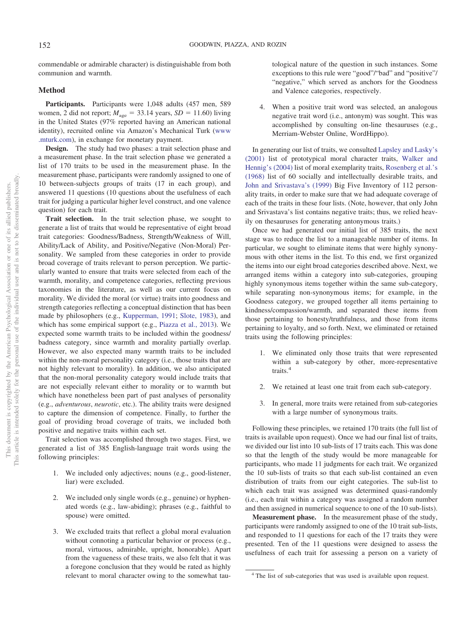commendable or admirable character) is distinguishable from both communion and warmth.

#### **Method**

Participants. Participants were 1,048 adults (457 men, 589 women, 2 did not report;  $M_{\text{age}} = 33.14$  years,  $SD = 11.60$ ) living in the United States (97% reported having an American national identity), recruited online via Amazon's Mechanical Turk [\(www](http://www.mturk.com) [.mturk.com\)](http://www.mturk.com), in exchange for monetary payment.

**Design.** The study had two phases: a trait selection phase and a measurement phase. In the trait selection phase we generated a list of 170 traits to be used in the measurement phase. In the measurement phase, participants were randomly assigned to one of 10 between-subjects groups of traits (17 in each group), and answered 11 questions (10 questions about the usefulness of each trait for judging a particular higher level construct, and one valence question) for each trait.

**Trait selection.** In the trait selection phase, we sought to generate a list of traits that would be representative of eight broad trait categories: Goodness/Badness, Strength/Weakness of Will, Ability/Lack of Ability, and Positive/Negative (Non-Moral) Personality. We sampled from these categories in order to provide broad coverage of traits relevant to person perception. We particularly wanted to ensure that traits were selected from each of the warmth, morality, and competence categories, reflecting previous taxonomies in the literature, as well as our current focus on morality. We divided the moral (or virtue) traits into goodness and strength categories reflecting a conceptual distinction that has been made by philosophers (e.g., [Kupperman, 1991;](#page-19-0) [Slote, 1983\)](#page-19-23), and which has some empirical support (e.g., [Piazza et al., 2013\)](#page-19-4). We expected some warmth traits to be included within the goodness/ badness category, since warmth and morality partially overlap. However, we also expected many warmth traits to be included within the non-moral personality category (i.e., those traits that are not highly relevant to morality). In addition, we also anticipated that the non-moral personality category would include traits that are not especially relevant either to morality or to warmth but which have nonetheless been part of past analyses of personality (e.g., *adventurous*, *neurotic*, etc.). The ability traits were designed to capture the dimension of competence. Finally, to further the goal of providing broad coverage of traits, we included both positive and negative traits within each set.

Trait selection was accomplished through two stages. First, we generated a list of 385 English-language trait words using the following principles:

- 1. We included only adjectives; nouns (e.g., good-listener, liar) were excluded.
- 2. We included only single words (e.g., genuine) or hyphenated words (e.g., law-abiding); phrases (e.g., faithful to spouse) were omitted.
- 3. We excluded traits that reflect a global moral evaluation without connoting a particular behavior or process (e.g., moral, virtuous, admirable, upright, honorable). Apart from the vagueness of these traits, we also felt that it was a foregone conclusion that they would be rated as highly relevant to moral character owing to the somewhat tau-

tological nature of the question in such instances. Some exceptions to this rule were "good"/"bad" and "positive"/ "negative," which served as anchors for the Goodness and Valence categories, respectively.

4. When a positive trait word was selected, an analogous negative trait word (i.e., antonym) was sought. This was accomplished by consulting on-line thesauruses (e.g., Merriam-Webster Online, WordHippo).

In generating our list of traits, we consulted [Lapsley and Lasky's](#page-19-24) [\(2001\)](#page-19-24) list of prototypical moral character traits, [Walker and](#page-19-21) [Hennig's \(2004\)](#page-19-21) list of moral exemplarity traits, [Rosenberg et al.'s](#page-19-13) [\(1968\)](#page-19-13) list of 60 socially and intellectually desirable traits, and [John and Srivastava's \(1999\)](#page-19-25) Big Five Inventory of 112 personality traits, in order to make sure that we had adequate coverage of each of the traits in these four lists. (Note, however, that only John and Srivastava's list contains negative traits; thus, we relied heavily on thesauruses for generating antonymous traits.)

Once we had generated our initial list of 385 traits, the next stage was to reduce the list to a manageable number of items. In particular, we sought to eliminate items that were highly synonymous with other items in the list. To this end, we first organized the items into our eight broad categories described above. Next, we arranged items within a category into sub-categories, grouping highly synonymous items together within the same sub-category, while separating non-synonymous items; for example, in the Goodness category, we grouped together all items pertaining to kindness/compassion/warmth, and separated these items from those pertaining to honesty/truthfulness, and those from items pertaining to loyalty, and so forth. Next, we eliminated or retained traits using the following principles:

- 1. We eliminated only those traits that were represented within a sub-category by other, more-representative traits.<sup>4</sup>
- 2. We retained at least one trait from each sub-category.
- 3. In general, more traits were retained from sub-categories with a large number of synonymous traits.

Following these principles, we retained 170 traits (the full list of traits is available upon request). Once we had our final list of traits, we divided our list into 10 sub-lists of 17 traits each. This was done so that the length of the study would be more manageable for participants, who made 11 judgments for each trait. We organized the 10 sub-lists of traits so that each sub-list contained an even distribution of traits from our eight categories. The sub-list to which each trait was assigned was determined quasi-randomly (i.e., each trait within a category was assigned a random number and then assigned in numerical sequence to one of the 10 sub-lists).

**Measurement phase.** In the measurement phase of the study, participants were randomly assigned to one of the 10 trait sub-lists, and responded to 11 questions for each of the 17 traits they were presented. Ten of the 11 questions were designed to assess the usefulness of each trait for assessing a person on a variety of

<sup>&</sup>lt;sup>4</sup> The list of sub-categories that was used is available upon request.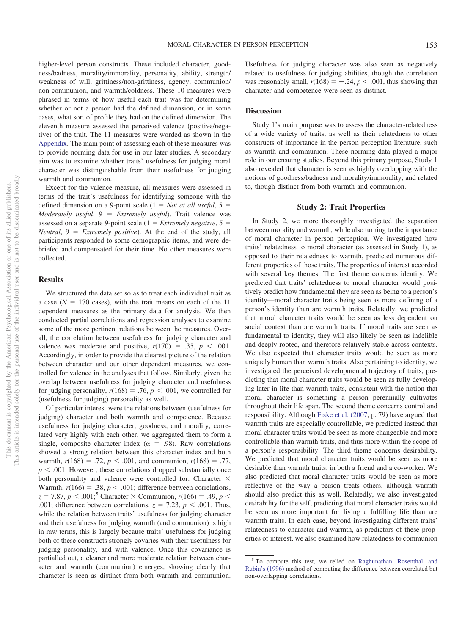higher-level person constructs. These included character, goodness/badness, morality/immorality, personality, ability, strength/ weakness of will, grittiness/non-grittiness, agency, communion/ non-communion, and warmth/coldness. These 10 measures were phrased in terms of how useful each trait was for determining whether or not a person had the defined dimension, or in some cases, what sort of profile they had on the defined dimension. The eleventh measure assessed the perceived valence (positive/negative) of the trait. The 11 measures were worded as shown in the [Appendix.](#page-20-0) The main point of assessing each of these measures was to provide norming data for use in our later studies. A secondary aim was to examine whether traits' usefulness for judging moral character was distinguishable from their usefulness for judging warmth and communion.

Except for the valence measure, all measures were assessed in terms of the trait's usefulness for identifying someone with the defined dimension on a 9-point scale  $(1 = Not at all useful, 5 =$ *Moderately useful*, 9 *Extremely useful*). Trait valence was assessed on a separate 9-point scale  $(1 = Extremely negative, 5 =$ *Neutral*,  $9 =$  *Extremely positive*). At the end of the study, all participants responded to some demographic items, and were debriefed and compensated for their time. No other measures were collected.

## **Results**

We structured the data set so as to treat each individual trait as a case  $(N = 170 \text{ cases})$ , with the trait means on each of the 11 dependent measures as the primary data for analysis. We then conducted partial correlations and regression analyses to examine some of the more pertinent relations between the measures. Overall, the correlation between usefulness for judging character and valence was moderate and positive,  $r(170) = .35$ ,  $p < .001$ . Accordingly, in order to provide the clearest picture of the relation between character and our other dependent measures, we controlled for valence in the analyses that follow. Similarly, given the overlap between usefulness for judging character and usefulness for judging personality,  $r(168) = .76$ ,  $p < .001$ , we controlled for (usefulness for judging) personality as well.

Of particular interest were the relations between (usefulness for judging) character and both warmth and competence. Because usefulness for judging character, goodness, and morality, correlated very highly with each other, we aggregated them to form a single, composite character index ( $\alpha$  = .98). Raw correlations showed a strong relation between this character index and both warmth,  $r(168) = .72$ ,  $p < .001$ , and communion,  $r(168) = .77$ ,  $p < .001$ . However, these correlations dropped substantially once both personality and valence were controlled for: Character  $\times$ Warmth,  $r(166) = .38$ ,  $p < .001$ ; difference between correlations,  $z = 7.87, p < .001$ ;<sup>5</sup> Character  $\times$  Communion, *r*(166) = .49, *p* < .001; difference between correlations,  $z = 7.23$ ,  $p < .001$ . Thus, while the relation between traits' usefulness for judging character and their usefulness for judging warmth (and communion) is high in raw terms, this is largely because traits' usefulness for judging both of these constructs strongly covaries with their usefulness for judging personality, and with valence. Once this covariance is partialled out, a clearer and more moderate relation between character and warmth (communion) emerges, showing clearly that character is seen as distinct from both warmth and communion.

Usefulness for judging character was also seen as negatively related to usefulness for judging abilities, though the correlation was reasonably small,  $r(168) = -.24$ ,  $p < .001$ , thus showing that character and competence were seen as distinct.

# **Discussion**

Study 1's main purpose was to assess the character-relatedness of a wide variety of traits, as well as their relatedness to other constructs of importance in the person perception literature, such as warmth and communion. These norming data played a major role in our ensuing studies. Beyond this primary purpose, Study 1 also revealed that character is seen as highly overlapping with the notions of goodness/badness and morality/immorality, and related to, though distinct from both warmth and communion.

#### **Study 2: Trait Properties**

In Study 2, we more thoroughly investigated the separation between morality and warmth, while also turning to the importance of moral character in person perception. We investigated how traits' relatedness to moral character (as assessed in Study 1), as opposed to their relatedness to warmth, predicted numerous different properties of those traits. The properties of interest accorded with several key themes. The first theme concerns identity. We predicted that traits' relatedness to moral character would positively predict how fundamental they are seen as being to a person's identity—moral character traits being seen as more defining of a person's identity than are warmth traits. Relatedly, we predicted that moral character traits would be seen as less dependent on social context than are warmth traits. If moral traits are seen as fundamental to identity, they will also likely be seen as indelible and deeply rooted, and therefore relatively stable across contexts. We also expected that character traits would be seen as more uniquely human than warmth traits. Also pertaining to identity, we investigated the perceived developmental trajectory of traits, predicting that moral character traits would be seen as fully developing later in life than warmth traits, consistent with the notion that moral character is something a person perennially cultivates throughout their life span. The second theme concerns control and responsibility. Although [Fiske et al. \(2007,](#page-18-5) p. 79) have argued that warmth traits are especially controllable, we predicted instead that moral character traits would be seen as more changeable and more controllable than warmth traits, and thus more within the scope of a person's responsibility. The third theme concerns desirability. We predicted that moral character traits would be seen as more desirable than warmth traits, in both a friend and a co-worker. We also predicted that moral character traits would be seen as more reflective of the way a person treats others, although warmth should also predict this as well. Relatedly, we also investigated desirability for the self, predicting that moral character traits would be seen as more important for living a fulfilling life than are warmth traits. In each case, beyond investigating different traits' relatedness to character and warmth, as predictors of these properties of interest, we also examined how relatedness to communion

<sup>5</sup> To compute this test, we relied on [Raghunathan, Rosenthal, and](#page-19-26) [Rubin's \(1996\)](#page-19-26) method of computing the difference between correlated but non-overlapping correlations.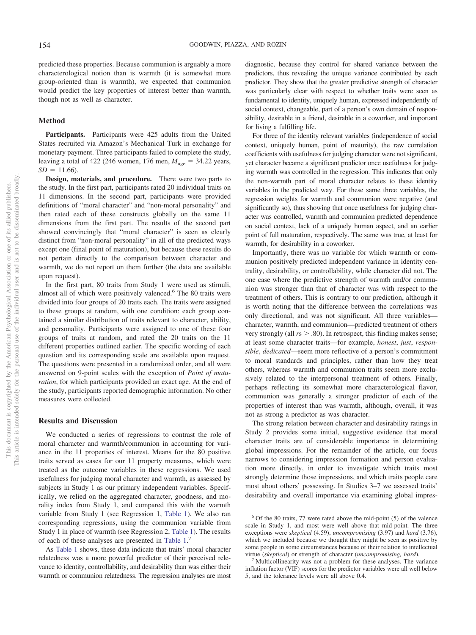predicted these properties. Because communion is arguably a more characterological notion than is warmth (it is somewhat more group-oriented than is warmth), we expected that communion would predict the key properties of interest better than warmth, though not as well as character.

#### **Method**

**Participants.** Participants were 425 adults from the United States recruited via Amazon's Mechanical Turk in exchange for monetary payment. Three participants failed to complete the study, leaving a total of 422 (246 women, 176 men,  $M_{\text{age}} = 34.22$  years,  $SD = 11.66$ .

**Design, materials, and procedure.** There were two parts to the study. In the first part, participants rated 20 individual traits on 11 dimensions. In the second part, participants were provided definitions of "moral character" and "non-moral personality" and then rated each of these constructs globally on the same 11 dimensions from the first part. The results of the second part showed convincingly that "moral character" is seen as clearly distinct from "non-moral personality" in all of the predicted ways except one (final point of maturation), but because these results do not pertain directly to the comparison between character and warmth, we do not report on them further (the data are available upon request).

In the first part, 80 traits from Study 1 were used as stimuli, almost all of which were positively valenced.6 The 80 traits were divided into four groups of 20 traits each. The traits were assigned to these groups at random, with one condition: each group contained a similar distribution of traits relevant to character, ability, and personality. Participants were assigned to one of these four groups of traits at random, and rated the 20 traits on the 11 different properties outlined earlier. The specific wording of each question and its corresponding scale are available upon request. The questions were presented in a randomized order, and all were answered on 9-point scales with the exception of *Point of maturation*, for which participants provided an exact age. At the end of the study, participants reported demographic information. No other measures were collected.

#### **Results and Discussion**

We conducted a series of regressions to contrast the role of moral character and warmth/communion in accounting for variance in the 11 properties of interest. Means for the 80 positive traits served as cases for our 11 property measures, which were treated as the outcome variables in these regressions. We used usefulness for judging moral character and warmth, as assessed by subjects in Study 1 as our primary independent variables. Specifically, we relied on the aggregated character, goodness, and morality index from Study 1, and compared this with the warmth variable from Study 1 (see Regression 1, [Table 1\)](#page-7-0). We also ran corresponding regressions, using the communion variable from Study 1 in place of warmth (see Regression 2, [Table 1\)](#page-7-0). The results of each of these analyses are presented in [Table 1.](#page-7-0) 7

diagnostic, because they control for shared variance between the predictors, thus revealing the unique variance contributed by each predictor. They show that the greater predictive strength of character was particularly clear with respect to whether traits were seen as fundamental to identity, uniquely human, expressed independently of social context, changeable, part of a person's own domain of responsibility, desirable in a friend, desirable in a coworker, and important for living a fulfilling life.

For three of the identity relevant variables (independence of social context, uniquely human, point of maturity), the raw correlation coefficients with usefulness for judging character were not significant, yet character became a significant predictor once usefulness for judging warmth was controlled in the regression. This indicates that only the non-warmth part of moral character relates to these identity variables in the predicted way. For these same three variables, the regression weights for warmth and communion were negative (and significantly so), thus showing that once usefulness for judging character was controlled, warmth and communion predicted dependence on social context, lack of a uniquely human aspect, and an earlier point of full maturation, respectively. The same was true, at least for warmth, for desirability in a coworker.

Importantly, there was no variable for which warmth or communion positively predicted independent variance in identity centrality, desirability, or controllability, while character did not. The one case where the predictive strength of warmth and/or communion was stronger than that of character was with respect to the treatment of others. This is contrary to our prediction, although it is worth noting that the difference between the correlations was only directional, and was not significant. All three variables character, warmth, and communion—predicted treatment of others very strongly (all  $rs > .80$ ). In retrospect, this finding makes sense; at least some character traits—for example, *honest*, *just*, *responsible*, *dedicated*—seem more reflective of a person's commitment to moral standards and principles, rather than how they treat others, whereas warmth and communion traits seem more exclusively related to the interpersonal treatment of others. Finally, perhaps reflecting its somewhat more characterological flavor, communion was generally a stronger predictor of each of the properties of interest than was warmth, although, overall, it was not as strong a predictor as was character.

The strong relation between character and desirability ratings in Study 2 provides some initial, suggestive evidence that moral character traits are of considerable importance in determining global impressions. For the remainder of the article, our focus narrows to considering impression formation and person evaluation more directly, in order to investigate which traits most strongly determine those impressions, and which traits people care most about others' possessing. In Studies 3–7 we assessed traits' desirability and overall importance via examining global impres-

As [Table 1](#page-7-0) shows, these data indicate that traits' moral character relatedness was a more powerful predictor of their perceived relevance to identity, controllability, and desirability than was either their warmth or communion relatedness. The regression analyses are most

 $6$  Of the 80 traits, 77 were rated above the mid-point (5) of the valence scale in Study 1, and most were well above that mid-point. The three exceptions were *skeptical* (4.59), *uncompromising* (3.97) and *hard* (3.76), which we included because we thought they might be seen as positive by some people in some circumstances because of their relation to intellectual virtue (*skeptical*) or strength of character (*uncompromising, hard*). <sup>7</sup> Multicollinearity was not a problem for these analyses. The variance

inflation factor (VIF) scores for the predictor variables were all well below 5, and the tolerance levels were all above 0.4.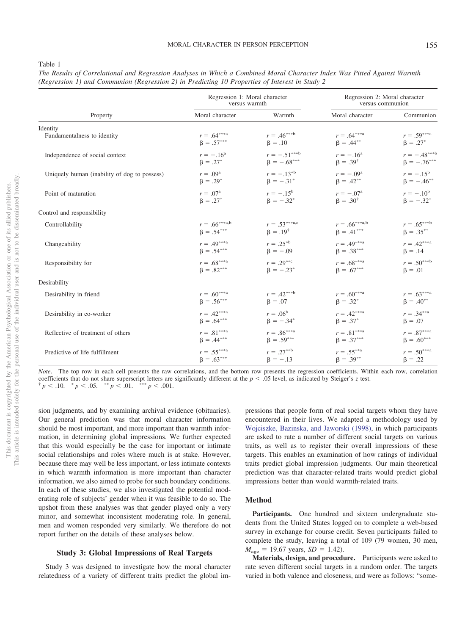|                                              | Regression 1: Moral character<br>versus warmth |                         | Regression 2: Moral character<br>versus communion |                       |  |
|----------------------------------------------|------------------------------------------------|-------------------------|---------------------------------------------------|-----------------------|--|
| Property                                     | Moral character                                | Warmth                  | Moral character                                   | Communion             |  |
| Identity                                     | $r = .64***^{\circ}$                           | $r = .46***b$           | $r = .64***^{\circ}$                              | $r = .59***^{\circ}$  |  |
| Fundamentalness to identity                  | $\beta = .57***$                               | $\beta = .10$           | $\beta = .44^{**}$                                | $\beta = .27^*$       |  |
| Independence of social context               | $r = -.16^a$                                   | $r = -.51***b$          | $r = -.16^a$                                      | $r = -.48***b$        |  |
|                                              | $\beta = .27^*$                                | $\beta = -.68***$       | $B = .39^{\dagger}$                               | $\beta = -.76***$     |  |
| Uniquely human (inability of dog to possess) | $r = .09^a$                                    | $r = -.13^{*b}$         | $r = -.09^{\rm a}$                                | $r = -.15^b$          |  |
|                                              | $\beta = .29^*$                                | $\beta = -.31^*$        | $\beta = .42^{**}$                                | $\beta = -.46^{**}$   |  |
| Point of maturation                          | $r = .07^{\rm a}$                              | $r = -.15^b$            | $r = -.07^{\rm a}$                                | $r = -.10^b$          |  |
|                                              | $B = .27^{\dagger}$                            | $\beta = -.32^*$        | $B = .30^{\dagger}$                               | $B = -.32^*$          |  |
| Control and responsibility                   |                                                |                         |                                                   |                       |  |
| Controllability                              | $r = .66***a,b$                                | $r = .53^{***a,c}$      | $r = .66^{***a,b}$                                | $r = .65***b$         |  |
|                                              | $\beta = .54***$                               | $\beta = .19^{\dagger}$ | $\beta = .41***$                                  | $\beta = .35***$      |  |
| Changeability                                | $r = .49***$                                   | $r = .25^{*b}$          | $r = .49***$                                      | $r = .42^{***a}$      |  |
|                                              | $\beta = .54***$                               | $\beta = -.09$          | $\beta = .38***$                                  | $\beta = .14$         |  |
| Responsibility for                           | $r = .68***$                                   | $r = .29^{***}$         | $r = .68***$                                      | $r=.50***b$           |  |
|                                              | $\beta = .82^{***}$                            | $\beta = -.23^*$        | $\beta = .67***$                                  | $\beta = .01$         |  |
| Desirability                                 |                                                |                         |                                                   |                       |  |
| Desirability in friend                       | $r=.60***^{\circ}$                             | $r = .42^{***b}$        | $r=.60***^{\circ}$                                | $r=.63***^{\ast}$     |  |
|                                              | $\beta = .56***$                               | $\beta = .07$           | $\beta = .32^*$                                   | $\beta = .40^{**}$    |  |
| Desirability in co-worker                    | $r = .42***$                                   | $r = .06^b$             | $r = .42^{***a}$                                  | $r = .34***$          |  |
|                                              | $\beta = .64***$                               | $\beta = -.34^*$        | $\beta = .37^*$                                   | $\beta = .07$         |  |
| Reflective of treatment of others            | $r=.81^{***a}$                                 | $r=.86***^{\ast}$       | $r = .81***$                                      | $r = .87***$          |  |
|                                              | $\beta = .44***$                               | $\beta = .59***$        | $\beta = .37***$                                  | $\beta = .60^{***}$   |  |
| Predictive of life fulfillment               | $r = .55***a$                                  | $r = .27***b$           | $r = .55^{***}$                                   | $r=.50***^{\text{a}}$ |  |
|                                              | $\beta = .63***$                               | $\beta = -.13$          | $\beta = .39^{**}$                                | $\beta = .22$         |  |

<span id="page-7-0"></span>

|  |  | The Results of Correlational and Regression Analyses in Which a Combined Moral Character Index Was Pitted Against Warmth |  |  |  |  |  |  |
|--|--|--------------------------------------------------------------------------------------------------------------------------|--|--|--|--|--|--|
|  |  | (Regression 1) and Communion (Regression 2) in Predicting 10 Properties of Interest in Study 2                           |  |  |  |  |  |  |

*Note*. The top row in each cell presents the raw correlations, and the bottom row presents the regression coefficients. Within each row, correlation coefficients that do not share superscript letters are significantly different at the  $p < .05$  level, as indicated by Steiger's *z* test.  $\frac{p}{p} < .01$ .  $\frac{p}{p} < .01$ .  $\frac{p}{p} < .01$ .  $< .10.$   $\degree p < .05.$   $\degree p < .01.$   $\degree p < .001.$ 

sion judgments, and by examining archival evidence (obituaries). Our general prediction was that moral character information should be most important, and more important than warmth information, in determining global impressions. We further expected that this would especially be the case for important or intimate social relationships and roles where much is at stake. However, because there may well be less important, or less intimate contexts in which warmth information is more important than character information, we also aimed to probe for such boundary conditions. In each of these studies, we also investigated the potential moderating role of subjects' gender when it was feasible to do so. The upshot from these analyses was that gender played only a very minor, and somewhat inconsistent moderating role. In general, men and women responded very similarly. We therefore do not report further on the details of these analyses below.

## **Study 3: Global Impressions of Real Targets**

Study 3 was designed to investigate how the moral character relatedness of a variety of different traits predict the global impressions that people form of real social targets whom they have encountered in their lives. We adapted a methodology used by [Wojciszke, Bazinska, and Jaworski \(1998\),](#page-19-1) in which participants are asked to rate a number of different social targets on various traits, as well as to register their overall impressions of these targets. This enables an examination of how ratings of individual traits predict global impression judgments. Our main theoretical prediction was that character-related traits would predict global impressions better than would warmth-related traits.

## **Method**

Participants. One hundred and sixteen undergraduate students from the United States logged on to complete a web-based survey in exchange for course credit. Seven participants failed to complete the study, leaving a total of 109 (79 women, 30 men,  $M_{\text{age}} = 19.67 \text{ years}, SD = 1.42.$ 

**Materials, design, and procedure.** Participants were asked to rate seven different social targets in a random order. The targets varied in both valence and closeness, and were as follows: "some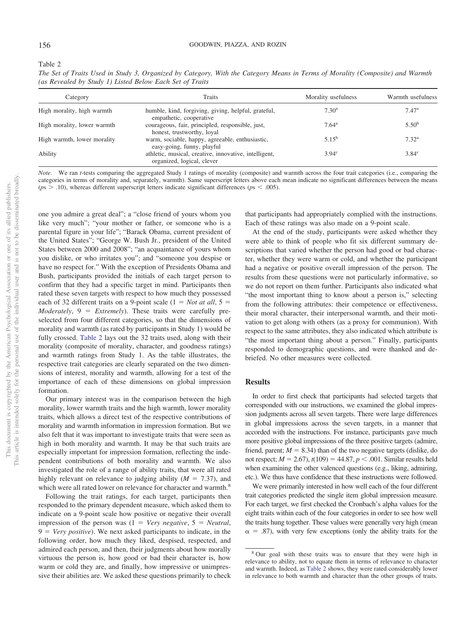This document is copyrighted by the American Psychological Association or one of its allied publishers. This article is intended solely for the personal use of the individual user and is not to be disseminated broadly.

This article is intended solely for the personal use of the individual user and is not to be disseminated broadly This document is copyrighted by the American Psychological Association or one of its allied publishers.

<span id="page-8-0"></span>Table 2

*The Set of Traits Used in Study 3, Organized by Category, With the Category Means in Terms of Morality (Composite) and Warmth (as Revealed by Study 1) Listed Below Each Set of Traits*

| Category                    | Traits                                                                              | Morality usefulness | Warmth usefulness |
|-----------------------------|-------------------------------------------------------------------------------------|---------------------|-------------------|
| High morality, high warmth  | humble, kind, forgiving, giving, helpful, grateful,<br>empathetic, cooperative      | $7.30^{\rm a}$      | $7.47^{\rm a}$    |
| High morality, lower warmth | courageous, fair, principled, responsible, just,<br>honest, trustworthy, loyal      | $7.64^{\rm a}$      | $5.50^{b}$        |
| High warmth, lower morality | warm, sociable, happy, agreeable, enthusiastic,<br>easy-going, funny, playful       | $5.15^{b}$          | $7.32^{\rm a}$    |
| Ability                     | athletic, musical, creative, innovative, intelligent,<br>organized, logical, clever | $3.94^\circ$        | $3.84^\circ$      |

*Note*. We ran *t*-tests comparing the aggregated Study 1 ratings of morality (composite) and warmth across the four trait categories (i.e., comparing the categories in terms of morality and, separately, warmth). Same superscript letters above each mean indicate no significant differences between the means  $(p_s > .10)$ , whereas different superscript letters indicate significant differences ( $p_s < .005$ ).

one you admire a great deal"; a "close friend of yours whom you like very much"; "your mother or father, or someone who is a parental figure in your life"; "Barack Obama, current president of the United States"; "George W. Bush Jr., president of the United States between 2000 and 2008"; "an acquaintance of yours whom you dislike, or who irritates you"; and "someone you despise or have no respect for." With the exception of Presidents Obama and Bush, participants provided the initials of each target person to confirm that they had a specific target in mind. Participants then rated these seven targets with respect to how much they possessed each of 32 different traits on a 9-point scale  $(1 = Not at all, 5 = 1)$ *Moderately*,  $9 = Extremely$ . These traits were carefully preselected from four different categories, so that the dimensions of morality and warmth (as rated by participants in Study 1) would be fully crossed. [Table 2](#page-8-0) lays out the 32 traits used, along with their morality (composite of morality, character, and goodness ratings) and warmth ratings from Study 1. As the table illustrates, the respective trait categories are clearly separated on the two dimensions of interest, morality and warmth, allowing for a test of the importance of each of these dimensions on global impression formation.

Our primary interest was in the comparison between the high morality, lower warmth traits and the high warmth, lower morality traits, which allows a direct test of the respective contributions of morality and warmth information in impression formation. But we also felt that it was important to investigate traits that were seen as high in both morality and warmth. It may be that such traits are especially important for impression formation, reflecting the independent contributions of both morality and warmth. We also investigated the role of a range of ability traits, that were all rated highly relevant on relevance to judging ability  $(M = 7.37)$ , and which were all rated lower on relevance for character and warmth.<sup>8</sup>

Following the trait ratings, for each target, participants then responded to the primary dependent measure, which asked them to indicate on a 9-point scale how positive or negative their overall impression of the person was  $(1 = Verv \; negative, 5 = Neutral,$ 9 *Very positive*). We next asked participants to indicate, in the following order, how much they liked, despised, respected, and admired each person, and then, their judgments about how morally virtuous the person is, how good or bad their character is, how warm or cold they are, and finally, how impressive or unimpressive their abilities are. We asked these questions primarily to check that participants had appropriately complied with the instructions. Each of these ratings was also made on a 9-point scale.

At the end of the study, participants were asked whether they were able to think of people who fit six different summary descriptions that varied whether the person had good or bad character, whether they were warm or cold, and whether the participant had a negative or positive overall impression of the person. The results from these questions were not particularly informative, so we do not report on them further. Participants also indicated what "the most important thing to know about a person is," selecting from the following attributes: their competence or effectiveness, their moral character, their interpersonal warmth, and their motivation to get along with others (as a proxy for communion). With respect to the same attributes, they also indicated which attribute is "the most important thing about a person." Finally, participants responded to demographic questions, and were thanked and debriefed. No other measures were collected.

## **Results**

In order to first check that participants had selected targets that corresponded with our instructions, we examined the global impression judgments across all seven targets. There were large differences in global impressions across the seven targets, in a manner that accorded with the instructions. For instance, participants gave much more positive global impressions of the three positive targets (admire, friend, parent;  $M = 8.34$ ) than of the two negative targets (dislike, do not respect;  $M = 2.67$ ),  $t(109) = 44.87$ ,  $p < .001$ . Similar results held when examining the other valenced questions (e.g., liking, admiring, etc.). We thus have confidence that these instructions were followed.

We were primarily interested in how well each of the four different trait categories predicted the single item global impression measure. For each target, we first checked the Cronbach's alpha values for the eight traits within each of the four categories in order to see how well the traits hung together. These values were generally very high (mean  $\alpha = .87$ ), with very few exceptions (only the ability traits for the

<sup>8</sup> Our goal with these traits was to ensure that they were high in relevance to ability, not to equate them in terms of relevance to character and warmth. Indeed, as [Table 2](#page-8-0) shows, they were rated considerably lower in relevance to both warmth and character than the other groups of traits.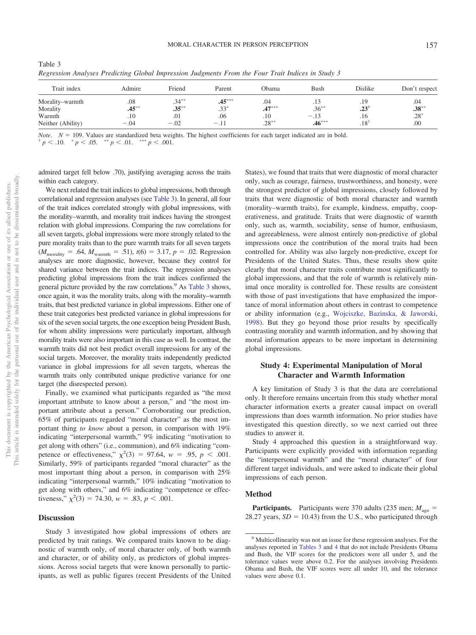| ×            |  |
|--------------|--|
| ۰.<br>×<br>v |  |

| Trait index                 | Admire          | Friend               | Parent             | Obama           | Bush            | Dislike                | Don't respect   |
|-----------------------------|-----------------|----------------------|--------------------|-----------------|-----------------|------------------------|-----------------|
| Morality-warmth<br>Morality | .08<br>$.45***$ | $.34***$<br>$.35***$ | $.45***$<br>$.33*$ | .04<br>$.47***$ | .13<br>$.36***$ | .19<br>$.23^{\dagger}$ | .04<br>$.38***$ |
| Warmth                      | $.10\,$         | .01                  | .06                | .10             | $-.13$          | .16                    | $.28*$          |
| Neither (Ability)           | $-.04$          | $-.02$               | 7. L I             | $.28***$        | $.46***$        | $.18^{+}$              | .00             |

<span id="page-9-0"></span>Table 3 *Regression Analyses Predicting Global Impression Judgments From the Four Trait Indices in Study 3*

*Note.*  $N = 109$ . Values are standardized beta weights. The highest coefficients for each target indicated are in bold.  $< 0.10.$   $\degree p < 0.05.$   $\degree p < 0.01.$   $\degree p < 0.01.$ 

admired target fell below .70), justifying averaging across the traits within each category.

We next related the trait indices to global impressions, both through correlational and regression analyses (see [Table 3\)](#page-9-0). In general, all four of the trait indices correlated strongly with global impressions, with the morality–warmth, and morality trait indices having the strongest relation with global impressions. Comparing the raw correlations for all seven targets, global impressions were more strongly related to the pure morality traits than to the pure warmth traits for all seven targets  $(M_{\text{morality}} = .64, M_{\text{warmth}} = .51), t(6) = 3.17, p = .02.$  Regression analyses are more diagnostic, however, because they control for shared variance between the trait indices. The regression analyses predicting global impressions from the trait indices confirmed the general picture provided by the raw correlations.<sup>9</sup> As [Table 3](#page-9-0) shows, once again, it was the morality traits, along with the morality–warmth traits, that best predicted variance in global impressions. Either one of these trait categories best predicted variance in global impressions for six of the seven social targets, the one exception being President Bush, for whom ability impressions were particularly important, although morality traits were also important in this case as well. In contrast, the warmth traits did not best predict overall impressions for any of the social targets. Moreover, the morality traits independently predicted variance in global impressions for all seven targets, whereas the warmth traits only contributed unique predictive variance for one target (the disrespected person).

Finally, we examined what participants regarded as "the most important attribute to know about a person," and "the most important attribute about a person." Corroborating our prediction, 65% of participants regarded "moral character" as the most important thing *to know* about a person, in comparison with 19% indicating "interpersonal warmth," 9% indicating "motivation to get along with others" (i.e., communion), and 6% indicating "competence or effectiveness,"  $\chi^2(3) = 97.64$ ,  $w = .95$ ,  $p < .001$ . Similarly, 59% of participants regarded "moral character" as the most important thing about a person, in comparison with 25% indicating "interpersonal warmth," 10% indicating "motivation to get along with others," and 6% indicating "competence or effectiveness,"  $\chi^2(3) = 74.30$ ,  $w = .83$ ,  $p < .001$ .

#### **Discussion**

Study 3 investigated how global impressions of others are predicted by trait ratings. We compared traits known to be diagnostic of warmth only, of moral character only, of both warmth and character, or of ability only, as predictors of global impressions. Across social targets that were known personally to participants, as well as public figures (recent Presidents of the United

States), we found that traits that were diagnostic of moral character only, such as courage, fairness, trustworthiness, and honesty, were the strongest predictor of global impressions, closely followed by traits that were diagnostic of both moral character and warmth (morality–warmth traits), for example, kindness, empathy, cooperativeness, and gratitude. Traits that were diagnostic of warmth only, such as, warmth, sociability, sense of humor, enthusiasm, and agreeableness, were almost entirely non-predictive of global impressions once the contribution of the moral traits had been controlled for. Ability was also largely non-predictive, except for Presidents of the United States. Thus, these results show quite clearly that moral character traits contribute most significantly to global impressions, and that the role of warmth is relatively minimal once morality is controlled for. These results are consistent with those of past investigations that have emphasized the importance of moral information about others in contrast to competence or ability information (e.g., [Wojciszke, Bazinska, & Jaworski,](#page-19-1) [1998\)](#page-19-1). But they go beyond those prior results by specifically contrasting morality and warmth information, and by showing that moral information appears to be more important in determining global impressions.

# **Study 4: Experimental Manipulation of Moral Character and Warmth Information**

A key limitation of Study 3 is that the data are correlational only. It therefore remains uncertain from this study whether moral character information exerts a greater causal impact on overall impressions than does warmth information. No prior studies have investigated this question directly, so we next carried out three studies to answer it.

Study 4 approached this question in a straightforward way. Participants were explicitly provided with information regarding the "interpersonal warmth" and the "moral character" of four different target individuals, and were asked to indicate their global impressions of each person.

## **Method**

**Participants.** Participants were 370 adults (235 men;  $M_{\text{age}} =$ 28.27 years,  $SD = 10.43$ ) from the U.S., who participated through

<sup>&</sup>lt;sup>9</sup> Multicollinearity was not an issue for these regression analyses. For the analyses reported in [Tables 3](#page-9-0) and [4](#page-12-0) that do not include Presidents Obama and Bush, the VIF scores for the predictors were all under 5, and the tolerance values were above 0.2. For the analyses involving Presidents Obama and Bush, the VIF scores were all under 10, and the tolerance values were above 0.1.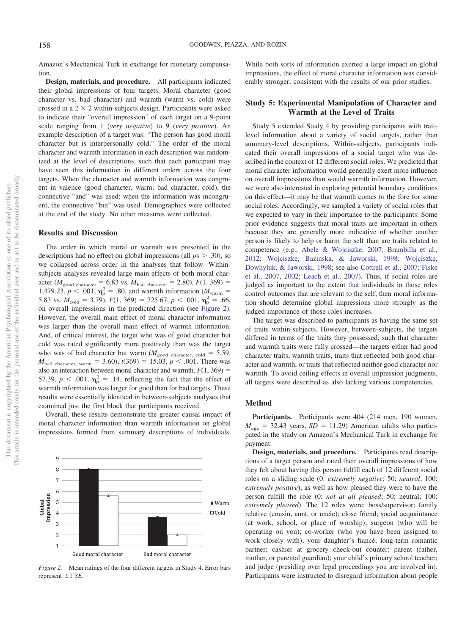Amazon's Mechanical Turk in exchange for monetary compensation.

**Design, materials, and procedure.** All participants indicated their global impressions of four targets. Moral character (good character vs. bad character) and warmth (warm vs. cold) were crossed in a  $2 \times 2$  within-subjects design. Participants were asked to indicate their "overall impression" of each target on a 9-point scale ranging from 1 (*very negative*) to 9 (*very positive*). An example description of a target was: "The person has good moral character but is interpersonally cold." The order of the moral character and warmth information in each description was randomized at the level of descriptions, such that each participant may have seen this information in different orders across the four targets. When the character and warmth information was congruent in valence (good character, warm; bad character, cold), the connective "and" was used; when the information was incongruent, the connective "but" was used. Demographics were collected at the end of the study. No other measures were collected.

## **Results and Discussion**

The order in which moral or warmth was presented in the descriptions had no effect on global impressions (all  $p_s$  > .30), so we collapsed across order in the analyses that follow. Withinsubjects analyses revealed large main effects of both moral character ( $M_{\text{good character}} = 6.83$  vs.  $M_{\text{bad character}} = 2.80$ ),  $F(1, 369) =$ 1,479.23,  $p < .001$ ,  $\eta_p^2 = .80$ , and warmth information ( $M_{\text{warm}} =$ 5.83 vs.  $M_{\text{cold}} = 3.79$ ,  $F(1, 369) = 725.67$ ,  $p < .001$ ,  $\eta_p^2 = .66$ , on overall impressions in the predicted direction (see [Figure 2\)](#page-10-0). However, the overall main effect of moral character information was larger than the overall main effect of warmth information. And, of critical interest, the target who was of good character but cold was rated significantly more positively than was the target who was of bad character but warm ( $M_{\text{good character, cold}} = 5.59$ ,  $M_{\text{bad character, warm}} = 3.60$ ,  $t(369) = 15.03$ ,  $p < .001$ . There was also an interaction between moral character and warmth, *F*(1, 369) 57.39,  $p < .001$ ,  $\eta_p^2 = .14$ , reflecting the fact that the effect of warmth information was larger for good than for bad targets. These results were essentially identical in between-subjects analyses that examined just the first block that participants received.

Overall, these results demonstrate the greater causal impact of moral character information than warmth information on global impressions formed from summary descriptions of individuals.



<span id="page-10-0"></span>*Figure 2.* Mean ratings of the four different targets in Study 4. Error bars represent  $\pm 1$  *SE*.

While both sorts of information exerted a large impact on global impressions, the effect of moral character information was considerably stronger, consistent with the results of our prior studies.

# **Study 5: Experimental Manipulation of Character and Warmth at the Level of Traits**

Study 5 extended Study 4 by providing participants with traitlevel information about a variety of social targets, rather than summary-level descriptions. Within-subjects, participants indicated their overall impressions of a social target who was described in the context of 12 different social roles. We predicted that moral character information would generally exert more influence on overall impressions than would warmth information. However, we were also interested in exploring potential boundary conditions on this effect—it may be that warmth comes to the fore for some social roles. Accordingly, we sampled a variety of social roles that we expected to vary in their importance to the participants. Some prior evidence suggests that moral traits are important in others because they are generally more indicative of whether another person is likely to help or harm the self than are traits related to competence (e.g., [Abele & Wojciszke, 2007;](#page-18-0) [Brambilla et al.,](#page-18-11) [2012;](#page-18-11) [Wojciszke, Bazinska, & Jaworski, 1998;](#page-19-1) [Wojciszke,](#page-19-2) [Dowhyluk, & Jaworski, 1998;](#page-19-2) see also [Cottrell et al., 2007;](#page-18-1) [Fiske](#page-18-5) [et al., 2007,](#page-18-5) [2002;](#page-18-6) [Leach et al., 2007\)](#page-19-3). Thus, if social roles are judged as important to the extent that individuals in those roles control outcomes that are relevant to the self, then moral information should determine global impressions more strongly as the judged importance of those roles increases.

The target was described to participants as having the same set of traits within-subjects. However, between-subjects, the targets differed in terms of the traits they possessed, such that character and warmth traits were fully crossed—the targets either had good character traits, warmth traits, traits that reflected both good character and warmth, or traits that reflected neither good character nor warmth. To avoid ceiling effects in overall impression judgments, all targets were described as also lacking various competencies.

#### **Method**

Participants. Participants were 404 (214 men, 190 women,  $M_{\text{age}}$  = 32.43 years, *SD* = 11.29) American adults who participated in the study on Amazon's Mechanical Turk in exchange for payment.

**Design, materials, and procedure.** Participants read descriptions of a target person and rated their overall impressions of how they felt about having this person fulfill each of 12 different social roles on a sliding scale (0: *extremely negative*; 50: *neutral*; 100: *extremely positive*), as well as how pleased they were to have the person fulfill the role (0: *not at all pleased*; 50: neutral; 100: *extremely pleased*). The 12 roles were: boss/supervisor; family relative (cousin, aunt, or uncle); close friend; social acquaintance (at work, school, or place of worship); surgeon (who will be operating on you); co-worker (who you have been assigned to work closely with); your daughter's fiancé; long-term romantic partner; cashier at grocery check-out counter; parent (father, mother, or parental guardian); your child's primary school teacher; and judge (presiding over legal proceedings you are involved in). Participants were instructed to disregard information about people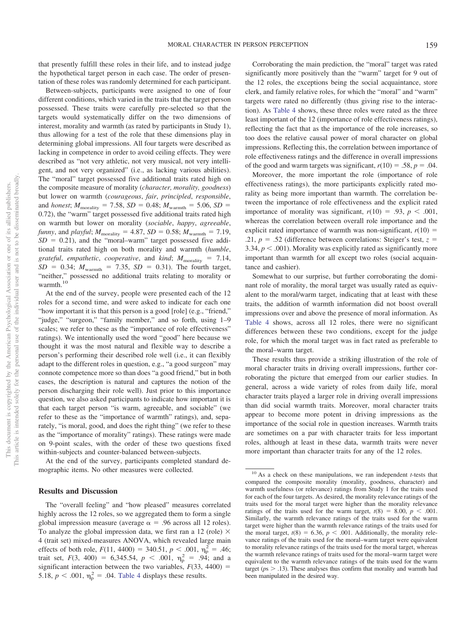that presently fulfill these roles in their life, and to instead judge the hypothetical target person in each case. The order of presentation of these roles was randomly determined for each participant.

Between-subjects, participants were assigned to one of four different conditions, which varied in the traits that the target person possessed. These traits were carefully pre-selected so that the targets would systematically differ on the two dimensions of interest, morality and warmth (as rated by participants in Study 1), thus allowing for a test of the role that these dimensions play in determining global impressions. All four targets were described as lacking in competence in order to avoid ceiling effects. They were described as "not very athletic, not very musical, not very intelligent, and not very organized" (i.e., as lacking various abilities). The "moral" target possessed five additional traits rated high on the composite measure of morality (*character, morality, goodness*) but lower on warmth (*courageous*, *fair*, *principled*, *responsible*, and *honest*;  $M_{\text{morality}} = 7.58$ ,  $SD = 0.48$ ;  $M_{\text{warmth}} = 5.06$ ,  $SD =$ 0.72), the "warm" target possessed five additional traits rated high on warmth but lower on morality (*sociable*, *happy*, *agreeable*, *funny*, and *playful*;  $M_{\text{morality}} = 4.87$ ,  $SD = 0.58$ ;  $M_{\text{warmth}} = 7.19$ ,  $SD = 0.21$ ), and the "moral–warm" target possessed five additional traits rated high on both morality and warmth (*humble*, *grateful, empathetic, cooperative, and kind;*  $M_{\text{morality}} = 7.14$ *,*  $SD = 0.34$ ;  $M_{warmth} = 7.35$ ,  $SD = 0.31$ ). The fourth target, "neither," possessed no additional traits relating to morality or warmth.<sup>10</sup>

At the end of the survey, people were presented each of the 12 roles for a second time, and were asked to indicate for each one "how important it is that this person is a good [role] (e.g., "friend," "judge," "surgeon," "family member," and so forth, using 1–9 scales; we refer to these as the "importance of role effectiveness" ratings). We intentionally used the word "good" here because we thought it was the most natural and flexible way to describe a person's performing their described role well (i.e., it can flexibly adapt to the different roles in question, e.g., "a good surgeon" may connote competence more so than does "a good friend," but in both cases, the description is natural and captures the notion of the person discharging their role well). Just prior to this importance question, we also asked participants to indicate how important it is that each target person "is warm, agreeable, and sociable" (we refer to these as the "importance of warmth" ratings), and, separately, "is moral, good, and does the right thing" (we refer to these as the "importance of morality" ratings). These ratings were made on 9-point scales, with the order of these two questions fixed within-subjects and counter-balanced between-subjects.

At the end of the survey, participants completed standard demographic items. No other measures were collected.

## **Results and Discussion**

The "overall feeling" and "how pleased" measures correlated highly across the 12 roles, so we aggregated them to form a single global impression measure (average  $\alpha = .96$  across all 12 roles). To analyze the global impression data, we first ran a 12 (role)  $\times$ 4 (trait set) mixed-measures ANOVA, which revealed large main effects of both role,  $F(11, 4400) = 340.51$ ,  $p < .001$ ,  $\eta_p^2 = .46$ ; trait set,  $F(3, 400) = 6,345.54, p < .001, \eta_p^2 = .94$ ; and a significant interaction between the two variables,  $F(33, 4400) =$ 5.18,  $p < .001$ ,  $\eta_{\rm p}^2 = .04$ . [Table 4](#page-12-0) displays these results.

Corroborating the main prediction, the "moral" target was rated significantly more positively than the "warm" target for 9 out of the 12 roles, the exceptions being the social acquaintance, store clerk, and family relative roles, for which the "moral" and "warm" targets were rated no differently (thus giving rise to the interaction). As [Table 4](#page-12-0) shows, these three roles were rated as the three least important of the 12 (importance of role effectiveness ratings), reflecting the fact that as the importance of the role increases, so too does the relative causal power of moral character on global impressions. Reflecting this, the correlation between importance of role effectiveness ratings and the difference in overall impressions of the good and warm targets was significant,  $r(10) = .58$ ,  $p = .04$ .

Moreover, the more important the role (importance of role effectiveness ratings), the more participants explicitly rated morality as being more important than warmth. The correlation between the importance of role effectiveness and the explicit rated importance of morality was significant,  $r(10) = .93$ ,  $p < .001$ , whereas the correlation between overall role importance and the explicit rated importance of warmth was non-significant,  $r(10)$  = .21,  $p = .52$  (difference between correlations: Steiger's test,  $z =$ 3.34,  $p < .001$ ). Morality was explicitly rated as significantly more important than warmth for all except two roles (social acquaintance and cashier).

Somewhat to our surprise, but further corroborating the dominant role of morality, the moral target was usually rated as equivalent to the moral/warm target, indicating that at least with these traits, the addition of warmth information did not boost overall impressions over and above the presence of moral information. As [Table 4](#page-12-0) shows, across all 12 roles, there were no significant differences between these two conditions, except for the judge role, for which the moral target was in fact rated as preferable to the moral–warm target.

These results thus provide a striking illustration of the role of moral character traits in driving overall impressions, further corroborating the picture that emerged from our earlier studies. In general, across a wide variety of roles from daily life, moral character traits played a larger role in driving overall impressions than did social warmth traits. Moreover, moral character traits appear to become more potent in driving impressions as the importance of the social role in question increases. Warmth traits are sometimes on a par with character traits for less important roles, although at least in these data, warmth traits were never more important than character traits for any of the 12 roles.

<sup>10</sup> As a check on these manipulations, we ran independent *t*-tests that compared the composite morality (morality, goodness, character) and warmth usefulness (or relevance) ratings from Study 1 for the traits used for each of the four targets. As desired, the morality relevance ratings of the traits used for the moral target were higher than the morality relevance ratings of the traits used for the warm target,  $t(8) = 8.00, p < .001$ . Similarly, the warmth relevance ratings of the traits used for the warm target were higher than the warmth relevance ratings of the traits used for the moral target,  $t(8) = 6.36$ ,  $p < .001$ . Additionally, the morality relevance ratings of the traits used for the moral–warm target were equivalent to morality relevance ratings of the traits used for the moral target, whereas the warmth relevance ratings of traits used for the moral–warm target were equivalent to the warmth relevance ratings of the traits used for the warm target ( $p_s$   $>$  .13). These analyses thus confirm that morality and warmth had been manipulated in the desired way.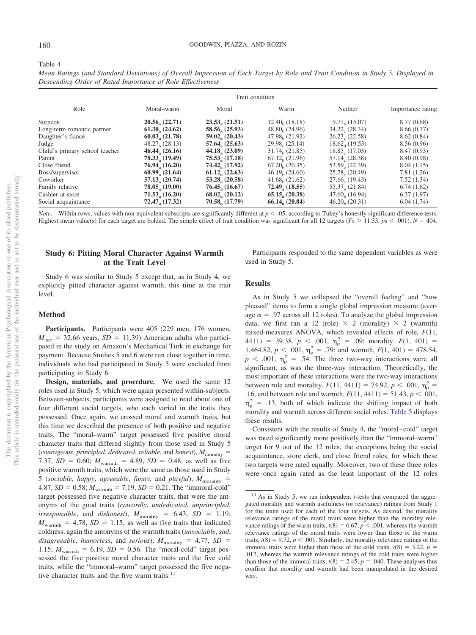<span id="page-12-0"></span>Table 4

|                                |                                | Trait condition                |                  |                         |                   |  |  |
|--------------------------------|--------------------------------|--------------------------------|------------------|-------------------------|-------------------|--|--|
| Role                           | Moral-warm                     | Moral                          | Warm             | Neither                 | Importance rating |  |  |
| Surgeon                        | $20.56$ , $(22.71)$            | $23.53$ , $(21.51)$            | $12.40b$ (18.18) | $9.71b$ (15.07)         | 8.77 (0.68)       |  |  |
| Long-term romantic partner     | 61.30, (24.62)                 | $58.56$ , $(25.93)$            | $48.80b$ (24.96) | 34.22, (28.34)          | 8.66(0.77)        |  |  |
| Daughter's fiancé              | 60.03, (21.78)                 | 59.02, (20.43)                 | $47.98b$ (21.92) | 26.23(22.58)            | 8.62(0.84)        |  |  |
| Judge                          | $48.27h$ (28.13)               | 57.64, (25.63)                 | 29.98, (25.14)   | $18.62_{\rm d}$ (19.53) | 8.56(0.96)        |  |  |
| Child's primary school teacher | 46.44, (26.16)                 | 44.18, (23.09)                 | $31.74b$ (21.85) | 18.85, (17.03)          | 8.47(0.93)        |  |  |
| Parent                         | $78.33$ <sub>2</sub> $(19.49)$ | 75.53, (17.18)                 | $67.12b$ (21.96) | $57.14_c(28.38)$        | 8.40 (0.98)       |  |  |
| Close friend                   | 76.94, (16.20)                 | 74.42, (17.92)                 | $67.20h$ (20.35) | 53.59 (22.39)           | 8.04(1.15)        |  |  |
| Boss/supervisor                | 60.99, (21.64)                 | 61.12, (22.63)                 | $46.19b$ (24.60) | 25.78, (20.49)          | 7.81(1.26)        |  |  |
| Coworker                       | $57.13$ <sub>2</sub> $(20.74)$ | $53.28$ <sub>2</sub> $(20.58)$ | $41.68b$ (21.62) | 27.66(19.43)            | 7.52(1.34)        |  |  |
| Family relative                | $78.05$ , $(19.00)$            | 76.45, (16.67)                 | 72.49, (18.55)   | $55.37h$ (21.84)        | 6.74(1.62)        |  |  |

*Mean Ratings (and Standard Deviations) of Overall Impression of Each Target by Role and Trait Condition in Study 5, Displayed in Descending Order of Rated Importance of Role Effectiveness*

*Note*. Within rows, values with non-equivalent subscripts are significantly different at  $p < .05$ , according to Tukey's honestly significant difference tests. Highest mean value(s) for each target are bolded. The simple effect of trait condition was significant for all 12 targets ( $Fs > 11.33$ ,  $ps < .001$ ).  $N = 404$ .

Cashier at store **71.53a (16.20) 68.02a (20.12) 65.15a (20.38)** 47.60b (16.94) 6.37 (1.97) Social acquaintance **72.47a (17.32) 70.58a (17.79) 66.14a (20.84)** 46.20b (20.31) 6.04 (1.74)

# **Study 6: Pitting Moral Character Against Warmth at the Trait Level**

Study 6 was similar to Study 5 except that, as in Study 4, we explicitly pitted character against warmth, this time at the trait level.

#### **Method**

This document is copyrighted by the American Psychological Association or one of its allied publishers. This article is intended solely for the personal use of the individual user and is not to be disseminated broadly.

This document is copyrighted by the American Psychological Association or<br>This article is intended solely for the personal use of the individual user and is n

not to be disseminated broadly one of its allied publishers.

> Participants. Participants were 405 (229 men, 176 women,  $M_{\text{age}}$  = 32.66 years, *SD* = 11.39) American adults who participated in the study on Amazon's Mechanical Turk in exchange for payment. Because Studies 5 and 6 were run close together in time, individuals who had participated in Study 5 were excluded from participating in Study 6.

> **Design, materials, and procedure.** We used the same 12 roles used in Study 5, which were again presented within-subjects. Between-subjects, participants were assigned to read about one of four different social targets, who each varied in the traits they possessed. Once again, we crossed moral and warmth traits, but this time we described the presence of both positive and negative traits. The "moral–warm" target possessed five positive moral character traits that differed slightly from those used in Study 5 (*courageous*, *principled*, *dedicated*, *reliable*, and *honest*),  $M_{\text{morality}} =$ 7.37, *SD* = 0.60;  $M_{\text{warm}}$  = 4.89, *SD* = 0.48, as well as five positive warmth traits, which were the same as those used in Study 5 (sociable, happy, agreeable, funny, and playful),  $M_{\text{morality}} =$ 4.87,  $SD = 0.58$ ;  $M_{\text{warmth}} = 7.19$ ,  $SD = 0.21$ . The "immoral-cold" target possessed five negative character traits, that were the antonyms of the good traits (*cowardly*, *undedicated*, *unprincipled*, *irresponsible*, and *dishonest*),  $M_{\text{morality}} = 6.43$ ,  $SD = 1.19$ ;  $M_{\text{warmth}}$  = 4.78, *SD* = 1.15, as well as five traits that indicated coldness, again the antonyms of the warmth traits (*unsociable*, *sad*, *disagreeable*, *humorless*, and *serious*),  $M_{\text{morality}} = 4.77$ ,  $SD =$ 1.15;  $M_{\text{warmth}} = 6.19$ ,  $SD = 0.56$ . The "moral-cold" target possessed the five positive moral character traits and the five cold traits, while the "immoral–warm" target possessed the five negative character traits and the five warm traits. $11$

Participants responded to the same dependent variables as were used in Study 5.

## **Results**

As in Study 5 we collapsed the "overall feeling" and "how pleased" items to form a single global impression measure (average  $\alpha$  = .97 across all 12 roles). To analyze the global impression data, we first ran a 12 (role)  $\times$  2 (morality)  $\times$  2 (warmth) mixed-measures ANOVA, which revealed effects of role, *F*(11, 4411) = 39.38,  $p < .001$ ,  $\eta_p^2 = .09$ ; morality,  $F(1, 401) =$ 1,464.82,  $p < .001$ ,  $\eta_p^2 = .79$ ; and warmth,  $F(1, 401) = 478.54$ ,  $p$  < .001,  $\eta_p^2$  = .54. The three two-way interactions were all significant, as was the three-way interaction. Theoretically, the most important of these interactions were the two-way interactions between role and morality,  $F(11, 4411) = 74.92$ ,  $p < .001$ ,  $\eta_p^2 =$ .16, and between role and warmth,  $F(11, 4411) = 51.43$ ,  $p < .001$ ,  $\eta_p^2$  = .13, both of which indicate the shifting impact of both morality and warmth across different social roles. [Table 5](#page-13-0) displays these results.

Consistent with the results of Study 4, the "moral– cold" target was rated significantly more positively than the "immoral–warm" target for 9 out of the 12 roles, the exceptions being the social acquaintance, store clerk, and close friend roles, for which these two targets were rated equally. Moreover, two of these three roles were once again rated as the least important of the 12 roles

<sup>&</sup>lt;sup>11</sup> As in Study 5, we ran independent *t*-tests that compared the aggregated morality and warmth usefulness (or relevance) ratings from Study 1 for the traits used for each of the four targets. As desired, the morality relevance ratings of the moral traits were higher than the morality relevance ratings of the warm traits,  $t(8) = 6.67$ ,  $p < .001$ , whereas the warmth relevance ratings of the moral traits were lower than those of the warm traits,  $t(8) = 9.72$ ,  $p < .001$ . Similarly, the morality relevance ratings of the immoral traits were higher than those of the cold traits,  $t(8) = 3.22$ ,  $p =$ .012, whereas the warmth relevance ratings of the cold traits were higher than those of the immoral traits,  $t(8) = 2.45$ ,  $p = .040$ . These analyses thus confirm that morality and warmth had been manipulated in the desired way.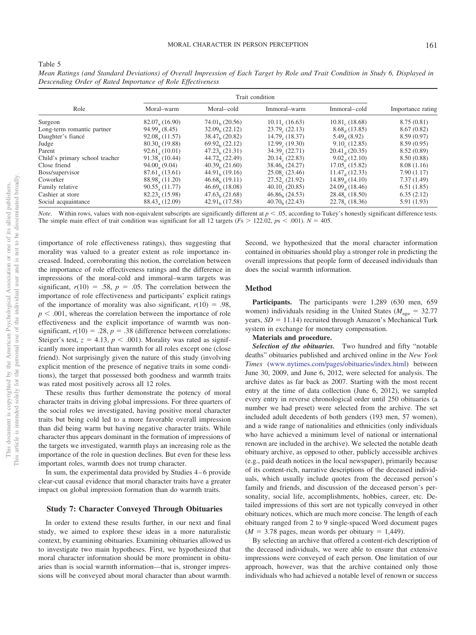<span id="page-13-0"></span>

| ۰,<br>× |  |
|---------|--|
|---------|--|

| Role                           | Moral-warm     | Moral-cold       | Immoral-warm     | Immoral-cold              | Importance rating |
|--------------------------------|----------------|------------------|------------------|---------------------------|-------------------|
| Surgeon                        | 82.07, (16.90) | $74.01b$ (20.56) | $10.11_c(16.63)$ | 10.81, (18.68)            | 8.75(0.81)        |
| Long-term romantic partner     | 94.99 (8.45)   | $32.09b$ (22.12) | 23.79(22.13)     | $8.68_{\rm d}$ (13.85)    | 8.67(0.82)        |
| Daughter's fiancé              | 92.08, (11.57) | $38.47h$ (20.82) | 14.79(18.37)     | $5.49_{\rm d}$ (8.92)     | 8.59(0.97)        |
| Judge                          | 80.30, (19.88) | $69.92b$ (22.12) | $12.99c$ (19.30) | 9.10(12.85)               | 8.59(0.95)        |
| Parent                         | 92.61, (10.01) | $47.23h$ (21.31) | 34.39(22.71)     | $20.41_{\text{d}}(20.35)$ | 8.52(0.89)        |
| Child's primary school teacher | 91.38 (10.44)  | $44.72b$ (22.49) | 20.14, (22.83)   | $9.02_{\text{d}}(12.10)$  | 8.50 (0.88)       |
| Close friend                   | 94.00(9.04)    | $40.39b$ (21.60) | $38.46b$ (24.27) | 17.05, (15.82)            | 8.08(1.16)        |
| Boss/supervisor                | 87.61, (13.61) | $44.91b$ (19.16) | 25.08, (23.46)   | $11.47_{\rm d}$ (12.33)   | 7.90(1.17)        |
| Coworker                       | 88.98 (11.20)  | $46.68b$ (19.11) | 27.52, (21.92)   | $14.89_{4} (14.10)$       | 7.37(1.49)        |
| Family relative                | 90.55, (11.77) | $46.69b$ (18.08) | 40.10(20.85)     | $24.09_{\rm d}$ (18.46)   | 6.51(1.85)        |
| Cashier at store               | 82.23, (15.98) | $47.63b$ (21.68) | $46.86b$ (24.53) | 28.48, (18.50)            | 6.35(2.12)        |
| Social acquaintance            | 88.43, (12.09) | $42.91b$ (17.58) | $40.70h$ (22.43) | 22.78, (18.36)            | 5.91(1.93)        |

*Mean Ratings (and Standard Deviations) of Overall Impression of Each Target by Role and Trait Condition in Study 6, Displayed in Descending Order of Rated Importance of Role Effectiveness*

*Note*. Within rows, values with non-equivalent subscripts are significantly different at  $p < .05$ , according to Tukey's honestly significant difference tests. The simple main effect of trait condition was significant for all 12 targets ( $Fs > 122.02$ ,  $ps < .001$ ).  $N = 405$ .

(importance of role effectiveness ratings), thus suggesting that morality was valued to a greater extent as role importance increased. Indeed, corroborating this notion, the correlation between the importance of role effectiveness ratings and the difference in impressions of the moral-cold and immoral–warm targets was significant,  $r(10) = .58$ ,  $p = .05$ . The correlation between the importance of role effectiveness and participants' explicit ratings of the importance of morality was also significant,  $r(10) = .98$ ,  $p < .001$ , whereas the correlation between the importance of role effectiveness and the explicit importance of warmth was nonsignificant,  $r(10) = .28$ ,  $p = .38$  (difference between correlations: Steiger's test,  $z = 4.13$ ,  $p < .001$ ). Morality was rated as significantly more important than warmth for all roles except one (close friend). Not surprisingly given the nature of this study (involving explicit mention of the presence of negative traits in some conditions), the target that possessed both goodness and warmth traits was rated most positively across all 12 roles.

These results thus further demonstrate the potency of moral character traits in driving global impressions. For three quarters of the social roles we investigated, having positive moral character traits but being cold led to a more favorable overall impression than did being warm but having negative character traits. While character thus appears dominant in the formation of impressions of the targets we investigated, warmth plays an increasing role as the importance of the role in question declines. But even for these less important roles, warmth does not trump character.

In sum, the experimental data provided by Studies 4 – 6 provide clear-cut causal evidence that moral character traits have a greater impact on global impression formation than do warmth traits.

#### **Study 7: Character Conveyed Through Obituaries**

In order to extend these results further, in our next and final study, we aimed to explore these ideas in a more naturalistic context, by examining obituaries. Examining obituaries allowed us to investigate two main hypotheses. First, we hypothesized that moral character information should be more prominent in obituaries than is social warmth information—that is, stronger impressions will be conveyed about moral character than about warmth.

Second, we hypothesized that the moral character information contained in obituaries should play a stronger role in predicting the overall impressions that people form of deceased individuals than does the social warmth information.

## **Method**

Participants. The participants were 1,289 (630 men, 659) women) individuals residing in the United States ( $M_{\text{age}} = 32.77$ years,  $SD = 11.14$ ) recruited through Amazon's Mechanical Turk system in exchange for monetary compensation.

#### **Materials and procedure.**

*Selection of the obituaries.* Two hundred and fifty "notable deaths" obituaries published and archived online in the *New York Times* [\(www.nytimes.com/pages/obituaries/index.html\)](http://www.nytimes.com/pages/obituaries/index.html) between June 30, 2009, and June 6, 2012, were selected for analysis. The archive dates as far back as 2007. Starting with the most recent entry at the time of data collection (June 6, 2012), we sampled every entry in reverse chronological order until 250 obituaries (a number we had preset) were selected from the archive. The set included adult decedents of both genders (193 men, 57 women), and a wide range of nationalities and ethnicities (only individuals who have achieved a minimum level of national or international renown are included in the archive). We selected the notable death obituary archive, as opposed to other, publicly accessible archives (e.g., paid death notices in the local newspaper), primarily because of its content-rich, narrative descriptions of the deceased individuals, which usually include quotes from the deceased person's family and friends, and discussion of the deceased person's personality, social life, accomplishments, hobbies, career, etc. Detailed impressions of this sort are not typically conveyed in other obituary notices, which are much more concise. The length of each obituary ranged from 2 to 9 single-spaced Word document pages  $(M = 3.78$  pages, mean words per obituary  $= 1,449$ .

By selecting an archive that offered a content-rich description of the deceased individuals, we were able to ensure that extensive impressions were conveyed of each person. One limitation of our approach, however, was that the archive contained only those individuals who had achieved a notable level of renown or success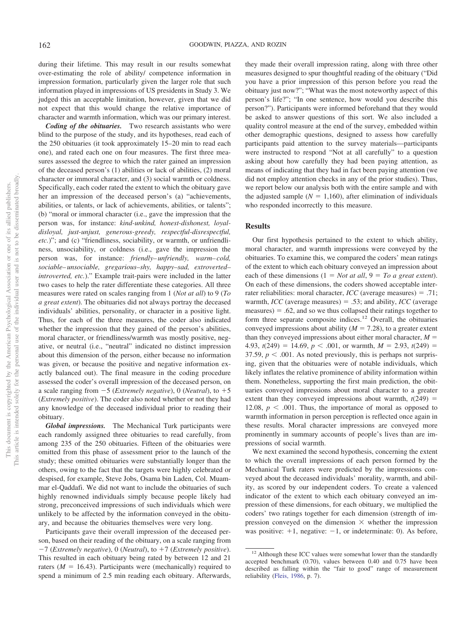during their lifetime. This may result in our results somewhat over-estimating the role of ability/ competence information in impression formation, particularly given the larger role that such information played in impressions of US presidents in Study 3. We judged this an acceptable limitation, however, given that we did not expect that this would change the relative importance of character and warmth information, which was our primary interest.

*Coding of the obituaries.* Two research assistants who were blind to the purpose of the study, and its hypotheses, read each of the 250 obituaries (it took approximately 15–20 min to read each one), and rated each one on four measures. The first three measures assessed the degree to which the rater gained an impression of the deceased person's (1) abilities or lack of abilities, (2) moral character or immoral character, and (3) social warmth or coldness. Specifically, each coder rated the extent to which the obituary gave her an impression of the deceased person's (a) "achievements, abilities, or talents, or lack of achievements, abilities, or talents"; (b) "moral or immoral character (i.e., gave the impression that the person was, for instance: *kind-unkind, honest-dishonest, loyaldisloyal, just-unjust, generous-greedy, respectful-disrespectful, etc.*)"; and (c) "friendliness, sociability, or warmth, or unfriendliness, unsociability, or coldness (i.e., gave the impression the person was, for instance: *friendly– unfriendly, warm– cold, sociable– unsociable, gregarious–shy, happy–sad, extroverted– introverted, etc.*)." Example trait-pairs were included in the latter two cases to help the rater differentiate these categories. All three measures were rated on scales ranging from 1 (*Not at all*) to 9 (*To a great extent*). The obituaries did not always portray the deceased individuals' abilities, personality, or character in a positive light. Thus, for each of the three measures, the coder also indicated whether the impression that they gained of the person's abilities, moral character, or friendliness/warmth was mostly positive, negative, or neutral (i.e., "neutral" indicated no distinct impression about this dimension of the person, either because no information was given, or because the positive and negative information exactly balanced out). The final measure in the coding procedure assessed the coder's overall impression of the deceased person, on a scale ranging from  $-5$  (*Extremely negative*), 0 (*Neutral*), to  $+5$ (*Extremely positive*). The coder also noted whether or not they had any knowledge of the deceased individual prior to reading their obituary.

*Global impressions.* The Mechanical Turk participants were each randomly assigned three obituaries to read carefully, from among 235 of the 250 obituaries. Fifteen of the obituaries were omitted from this phase of assessment prior to the launch of the study; these omitted obituaries were substantially longer than the others, owing to the fact that the targets were highly celebrated or despised, for example, Steve Jobs, Osama bin Laden, Col. Muammar el-Qaddafi. We did not want to include the obituaries of such highly renowned individuals simply because people likely had strong, preconceived impressions of such individuals which were unlikely to be affected by the information conveyed in the obituary, and because the obituaries themselves were very long.

Participants gave their overall impression of the deceased person, based on their reading of the obituary, on a scale ranging from  $-7$  (*Extremely negative*), 0 (*Neutral*), to  $+7$  (*Extremely positive*). This resulted in each obituary being rated by between 12 and 21 raters  $(M = 16.43)$ . Participants were (mechanically) required to spend a minimum of 2.5 min reading each obituary. Afterwards, they made their overall impression rating, along with three other measures designed to spur thoughtful reading of the obituary ("Did you have a prior impression of this person before you read the obituary just now?"; "What was the most noteworthy aspect of this person's life?"; "In one sentence, how would you describe this person?"). Participants were informed beforehand that they would be asked to answer questions of this sort. We also included a quality control measure at the end of the survey, embedded within other demographic questions, designed to assess how carefully participants paid attention to the survey materials—participants were instructed to respond "Not at all carefully" to a question asking about how carefully they had been paying attention, as means of indicating that they had in fact been paying attention (we did not employ attention checks in any of the prior studies). Thus, we report below our analysis both with the entire sample and with the adjusted sample  $(N = 1,160)$ , after elimination of individuals who responded incorrectly to this measure.

## **Results**

Our first hypothesis pertained to the extent to which ability, moral character, and warmth impressions were conveyed by the obituaries. To examine this, we compared the coders' mean ratings of the extent to which each obituary conveyed an impression about each of these dimensions  $(1 = Not at all, 9 = To a great extent).$ On each of these dimensions, the coders showed acceptable interrater reliabilities: moral character, *ICC* (average measures) = .71; warmth, *ICC* (average measures)  $= .53$ ; and ability, *ICC* (average  $measures = .62$ , and so we thus collapsed their ratings together to form three separate composite indices.<sup>12</sup> Overall, the obituaries conveyed impressions about ability  $(M = 7.28)$ , to a greater extent than they conveyed impressions about either moral character,  $M =$  $4.93, t(249) = 14.69, p < .001$ , or warmth,  $M = 2.93, t(249) =$ 37.59,  $p < .001$ . As noted previously, this is perhaps not surprising, given that the obituaries were of notable individuals, which likely inflates the relative prominence of ability information within them. Nonetheless, supporting the first main prediction, the obituaries conveyed impressions about moral character to a greater extent than they conveyed impressions about warmth,  $t(249)$  = 12.08,  $p < .001$ . Thus, the importance of moral as opposed to warmth information in person perception is reflected once again in these results. Moral character impressions are conveyed more prominently in summary accounts of people's lives than are impressions of social warmth.

We next examined the second hypothesis, concerning the extent to which the overall impressions of each person formed by the Mechanical Turk raters were predicted by the impressions conveyed about the deceased individuals' morality, warmth, and ability, as scored by our independent coders. To create a valenced indicator of the extent to which each obituary conveyed an impression of these dimensions, for each obituary, we multiplied the coders' two ratings together for each dimension (strength of impression conveyed on the dimension  $\times$  whether the impression was positive:  $+1$ , negative:  $-1$ , or indeterminate: 0). As before,

<sup>&</sup>lt;sup>12</sup> Although these ICC values were somewhat lower than the standardly accepted benchmark (0.70), values between 0.40 and 0.75 have been described as falling within the "fair to good" range of measurement reliability [\(Fleis, 1986,](#page-18-14) p. 7).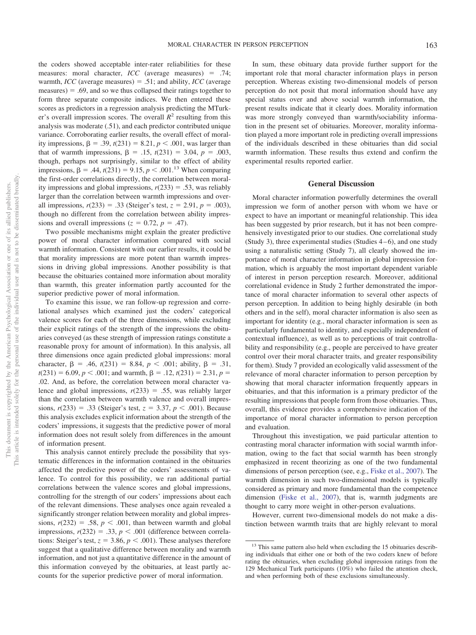the coders showed acceptable inter-rater reliabilities for these measures: moral character, *ICC* (average measures) = .74; warmth,  $\textit{ICC}$  (average measures) = .51; and ability,  $\textit{ICC}$  (average  $measures) = .69$ , and so we thus collapsed their ratings together to form three separate composite indices. We then entered these scores as predictors in a regression analysis predicting the MTurker's overall impression scores. The overall  $R^2$  resulting from this analysis was moderate (.51), and each predictor contributed unique variance. Corroborating earlier results, the overall effect of morality impressions,  $\beta = .39$ ,  $t(231) = 8.21$ ,  $p < .001$ , was larger than that of warmth impressions,  $\beta = .15$ ,  $t(231) = 3.04$ ,  $p = .003$ , though, perhaps not surprisingly, similar to the effect of ability impressions,  $\beta = .44$ ,  $t(231) = 9.15$ ,  $p < .001$ .<sup>13</sup> When comparing the first-order correlations directly, the correlation between morality impressions and global impressions,  $r(233) = .53$ , was reliably larger than the correlation between warmth impressions and overall impressions,  $r(233) = .33$  (Steiger's test,  $z = 2.91$ ,  $p = .003$ ), though no different from the correlation between ability impressions and overall impressions ( $z = 0.72$ ,  $p = .47$ ).

Two possible mechanisms might explain the greater predictive power of moral character information compared with social warmth information. Consistent with our earlier results, it could be that morality impressions are more potent than warmth impressions in driving global impressions. Another possibility is that because the obituaries contained more information about morality than warmth, this greater information partly accounted for the superior predictive power of moral information.

To examine this issue, we ran follow-up regression and correlational analyses which examined just the coders' categorical valence scores for each of the three dimensions, while excluding their explicit ratings of the strength of the impressions the obituaries conveyed (as these strength of impression ratings constitute a reasonable proxy for amount of information). In this analysis, all three dimensions once again predicted global impressions: moral character,  $\beta = .46$ ,  $t(231) = 8.84$ ,  $p < .001$ ; ability,  $\beta = .31$ ,  $t(231) = 6.09, p < .001$ ; and warmth,  $\beta = .12, t(231) = 2.31, p =$ .02. And, as before, the correlation between moral character valence and global impressions,  $r(233) = .55$ , was reliably larger than the correlation between warmth valence and overall impressions,  $r(233) = .33$  (Steiger's test,  $z = 3.37$ ,  $p < .001$ ). Because this analysis excludes explicit information about the strength of the coders' impressions, it suggests that the predictive power of moral information does not result solely from differences in the amount of information present.

This analysis cannot entirely preclude the possibility that systematic differences in the information contained in the obituaries affected the predictive power of the coders' assessments of valence. To control for this possibility, we ran additional partial correlations between the valence scores and global impressions, controlling for the strength of our coders' impressions about each of the relevant dimensions. These analyses once again revealed a significantly stronger relation between morality and global impressions,  $r(232) = .58$ ,  $p < .001$ , than between warmth and global impressions,  $r(232) = .33$ ,  $p < .001$  (difference between correlations: Steiger's test,  $z = 3.86$ ,  $p < .001$ ). These analyses therefore suggest that a qualitative difference between morality and warmth information, and not just a quantitative difference in the amount of this information conveyed by the obituaries, at least partly accounts for the superior predictive power of moral information.

In sum, these obituary data provide further support for the important role that moral character information plays in person perception. Whereas existing two-dimensional models of person perception do not posit that moral information should have any special status over and above social warmth information, the present results indicate that it clearly does. Morality information was more strongly conveyed than warmth/sociability information in the present set of obituaries. Moreover, morality information played a more important role in predicting overall impressions of the individuals described in these obituaries than did social warmth information. These results thus extend and confirm the experimental results reported earlier.

## **General Discussion**

Moral character information powerfully determines the overall impression we form of another person with whom we have or expect to have an important or meaningful relationship. This idea has been suggested by prior research, but it has not been comprehensively investigated prior to our studies. One correlational study (Study 3), three experimental studies (Studies  $4-6$ ), and one study using a naturalistic setting (Study 7), all clearly showed the importance of moral character information in global impression formation, which is arguably the most important dependent variable of interest in person perception research. Moreover, additional correlational evidence in Study 2 further demonstrated the importance of moral character information to several other aspects of person perception. In addition to being highly desirable (in both others and in the self), moral character information is also seen as important for identity (e.g., moral character information is seen as particularly fundamental to identity, and especially independent of contextual influence), as well as to perceptions of trait controllability and responsibility (e.g., people are perceived to have greater control over their moral character traits, and greater responsibility for them). Study 7 provided an ecologically valid assessment of the relevance of moral character information to person perception by showing that moral character information frequently appears in obituaries, and that this information is a primary predictor of the resulting impressions that people form from those obituaries. Thus, overall, this evidence provides a comprehensive indication of the importance of moral character information to person perception and evaluation.

Throughout this investigation, we paid particular attention to contrasting moral character information with social warmth information, owing to the fact that social warmth has been strongly emphasized in recent theorizing as one of the two fundamental dimensions of person perception (see, e.g., [Fiske et al., 2007\)](#page-18-5). The warmth dimension in such two-dimensional models is typically considered as primary and more fundamental than the competence dimension [\(Fiske et al., 2007\)](#page-18-5), that is, warmth judgments are thought to carry more weight in other-person evaluations.

However, current two-dimensional models do not make a distinction between warmth traits that are highly relevant to moral

<sup>&</sup>lt;sup>13</sup> This same pattern also held when excluding the 15 obituaries describing individuals that either one or both of the two coders knew of before rating the obituaries, when excluding global impression ratings from the 129 Mechanical Turk participants (10%) who failed the attention check, and when performing both of these exclusions simultaneously.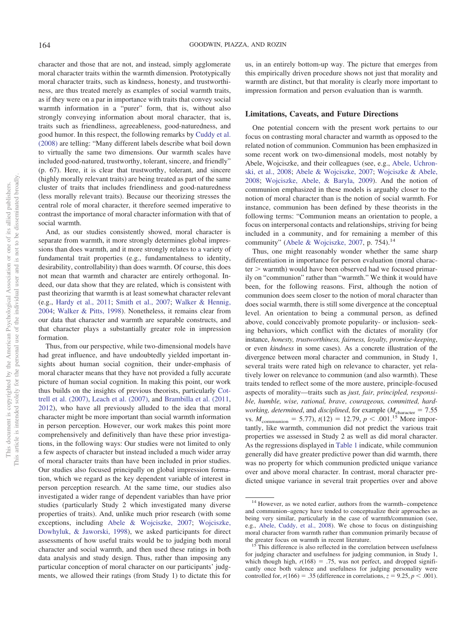character and those that are not, and instead, simply agglomerate moral character traits within the warmth dimension. Prototypically moral character traits, such as kindness, honesty, and trustworthiness, are thus treated merely as examples of social warmth traits, as if they were on a par in importance with traits that convey social warmth information in a "purer" form, that is, without also strongly conveying information about moral character, that is, traits such as friendliness, agreeableness, good-naturedness, and good humor. In this respect, the following remarks by [Cuddy et al.](#page-18-7) [\(2008\)](#page-18-7) are telling: "Many different labels describe what boil down to virtually the same two dimensions. Our warmth scales have included good-natured, trustworthy, tolerant, sincere, and friendly" (p. 67). Here, it is clear that trustworthy, tolerant, and sincere (highly morally relevant traits) are being treated as part of the same cluster of traits that includes friendliness and good-naturedness (less morally relevant traits). Because our theorizing stresses the central role of moral character, it therefore seemed imperative to contrast the importance of moral character information with that of social warmth.

And, as our studies consistently showed, moral character is separate from warmth, it more strongly determines global impressions than does warmth, and it more strongly relates to a variety of fundamental trait properties (e.g., fundamentalness to identity, desirability, controllability) than does warmth. Of course, this does not mean that warmth and character are entirely orthogonal. Indeed, our data show that they are related, which is consistent with past theorizing that warmth is at least somewhat character relevant (e.g., [Hardy et al., 2011;](#page-19-19) [Smith et al., 2007;](#page-19-20) [Walker & Hennig,](#page-19-21) [2004;](#page-19-21) [Walker & Pitts, 1998\)](#page-19-22). Nonetheless, it remains clear from our data that character and warmth are separable constructs, and that character plays a substantially greater role in impression formation.

Thus, from our perspective, while two-dimensional models have had great influence, and have undoubtedly yielded important insights about human social cognition, their under-emphasis of moral character means that they have not provided a fully accurate picture of human social cognition. In making this point, our work thus builds on the insights of previous theorists, particularly [Cot](#page-18-1)[trell et al. \(2007\),](#page-18-1) [Leach et al. \(2007\),](#page-19-3) and [Brambilla et al. \(2011,](#page-18-12) [2012\)](#page-18-11), who have all previously alluded to the idea that moral character might be more important than social warmth information in person perception. However, our work makes this point more comprehensively and definitively than have these prior investigations, in the following ways: Our studies were not limited to only a few aspects of character but instead included a much wider array of moral character traits than have been included in prior studies. Our studies also focused principally on global impression formation, which we regard as the key dependent variable of interest in person perception research. At the same time, our studies also investigated a wider range of dependent variables than have prior studies (particularly Study 2 which investigated many diverse properties of traits). And, unlike much prior research (with some exceptions, including [Abele & Wojciszke, 2007;](#page-18-0) [Wojciszke,](#page-19-2) [Dowhyluk, & Jaworski, 1998\)](#page-19-2), we asked participants for direct assessments of how useful traits would be to judging both moral character and social warmth, and then used these ratings in both data analysis and study design. Thus, rather than imposing any particular conception of moral character on our participants' judgments, we allowed their ratings (from Study 1) to dictate this for

us, in an entirely bottom-up way. The picture that emerges from this empirically driven procedure shows not just that morality and warmth are distinct, but that morality is clearly more important to impression formation and person evaluation than is warmth.

#### **Limitations, Caveats, and Future Directions**

One potential concern with the present work pertains to our focus on contrasting moral character and warmth as opposed to the related notion of communion. Communion has been emphasized in some recent work on two-dimensional models, most notably by Abele, Wojciszke, and their colleagues (see, e.g., [Abele, Uchron](#page-18-9)[ski, et al., 2008;](#page-18-9) [Abele & Wojciszke, 2007;](#page-18-0) [Wojciszke & Abele,](#page-19-16) [2008;](#page-19-16) [Wojciszke, Abele, & Baryla, 2009\)](#page-19-17). And the notion of communion emphasized in these models is arguably closer to the notion of moral character than is the notion of social warmth. For instance, communion has been defined by these theorists in the following terms: "Communion means an orientation to people, a focus on interpersonal contacts and relationships, striving for being included in a community, and for remaining a member of this community" [\(Abele & Wojciszke, 2007,](#page-18-0) p. 754).<sup>14</sup>

Thus, one might reasonably wonder whether the same sharp differentiation in importance for person evaluation (moral charac $ter$   $>$  warmth) would have been observed had we focused primarily on "communion" rather than "warmth." We think it would have been, for the following reasons. First, although the notion of communion does seem closer to the notion of moral character than does social warmth, there is still some divergence at the conceptual level. An orientation to being a communal person, as defined above, could conceivably promote popularity- or inclusion- seeking behaviors, which conflict with the dictates of morality (for instance, *honesty, trustworthiness, fairness, loyalty, promise-keeping*, or even *kindness* in some cases). As a concrete illustration of the divergence between moral character and communion, in Study 1, several traits were rated high on relevance to character, yet relatively lower on relevance to communion (and also warmth). These traits tended to reflect some of the more austere, principle-focused aspects of morality—traits such as *just, fair, principled, responsible, humble, wise, rational, brave, courageous, committed, hardworking, determined, and disciplined, for example (* $M_{\text{character}} = 7.55$ *)* vs.  $M_{\text{communication}} = 5.77$ ,  $t(12) = 12.79$ ,  $p < .001$ .<sup>15</sup> More importantly, like warmth, communion did not predict the various trait properties we assessed in Study 2 as well as did moral character. As the regressions displayed in [Table 1](#page-7-0) indicate, while communion generally did have greater predictive power than did warmth, there was no property for which communion predicted unique variance over and above moral character. In contrast, moral character predicted unique variance in several trait properties over and above

<sup>&</sup>lt;sup>14</sup> However, as we noted earlier, authors from the warmth–competence and communion–agency have tended to conceptualize their approaches as being very similar, particularly in the case of warmth/communion (see, e.g., [Abele, Cuddy, et al., 2008\)](#page-18-10). We chose to focus on distinguishing moral character from warmth rather than communion primarily because of the greater focus on warmth in recent literature.

This difference is also reflected in the correlation between usefulness for judging character and usefulness for judging communion, in Study 1, which though high,  $r(168) = .75$ , was not perfect, and dropped significantly once both valence and usefulness for judging personality were controlled for,  $r(166) = .35$  (difference in correlations,  $z = 9.25$ ,  $p < .001$ ).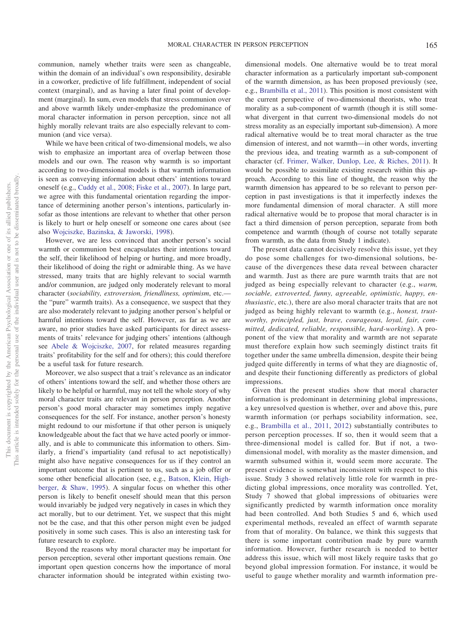communion, namely whether traits were seen as changeable, within the domain of an individual's own responsibility, desirable in a coworker, predictive of life fulfillment, independent of social context (marginal), and as having a later final point of development (marginal). In sum, even models that stress communion over and above warmth likely under-emphasize the predominance of moral character information in person perception, since not all highly morally relevant traits are also especially relevant to communion (and vice versa).

While we have been critical of two-dimensional models, we also wish to emphasize an important area of overlap between those models and our own. The reason why warmth is so important according to two-dimensional models is that warmth information is seen as conveying information about others' intentions toward oneself (e.g., [Cuddy et al., 2008;](#page-18-7) [Fiske et al., 2007\)](#page-18-5). In large part, we agree with this fundamental orientation regarding the importance of determining another person's intentions, particularly insofar as those intentions are relevant to whether that other person is likely to hurt or help oneself or someone one cares about (see also [Wojciszke, Bazinska, & Jaworski, 1998\)](#page-19-1).

However, we are less convinced that another person's social warmth or communion best encapsulates their intentions toward the self, their likelihood of helping or hurting, and more broadly, their likelihood of doing the right or admirable thing. As we have stressed, many traits that are highly relevant to social warmth and/or communion, are judged only moderately relevant to moral character (*sociability, extroversion, friendliness, optimism*, etc. the "pure" warmth traits). As a consequence, we suspect that they are also moderately relevant to judging another person's helpful or harmful intentions toward the self. However, as far as we are aware, no prior studies have asked participants for direct assessments of traits' relevance for judging others' intentions (although see [Abele & Wojciszke, 2007,](#page-18-0) for related measures regarding traits' profitability for the self and for others); this could therefore be a useful task for future research.

Moreover, we also suspect that a trait's relevance as an indicator of others' intentions toward the self, and whether those others are likely to be helpful or harmful, may not tell the whole story of why moral character traits are relevant in person perception. Another person's good moral character may sometimes imply negative consequences for the self. For instance, another person's honesty might redound to our misfortune if that other person is uniquely knowledgeable about the fact that we have acted poorly or immorally, and is able to communicate this information to others. Similarly, a friend's impartiality (and refusal to act nepotistically) might also have negative consequences for us if they control an important outcome that is pertinent to us, such as a job offer or some other beneficial allocation (see, e.g., [Batson, Klein, High](#page-18-15)[berger, & Shaw, 1995\)](#page-18-15). A singular focus on whether this other person is likely to benefit oneself should mean that this person would invariably be judged very negatively in cases in which they act morally, but to our detriment. Yet, we suspect that this might not be the case, and that this other person might even be judged positively in some such cases. This is also an interesting task for future research to explore.

Beyond the reasons why moral character may be important for person perception, several other important questions remain. One important open question concerns how the importance of moral character information should be integrated within existing twodimensional models. One alternative would be to treat moral character information as a particularly important sub-component of the warmth dimension, as has been proposed previously (see, e.g., [Brambilla et al., 2011\)](#page-18-12). This position is most consistent with the current perspective of two-dimensional theorists, who treat morality as a sub-component of warmth (though it is still somewhat divergent in that current two-dimensional models do not stress morality as an especially important sub-dimension). A more radical alternative would be to treat moral character as the true dimension of interest, and not warmth—in other words, inverting the previous idea, and treating warmth as a sub-component of character (cf. [Frimer, Walker, Dunlop, Lee, & Riches, 2011\)](#page-18-16). It would be possible to assimilate existing research within this approach. According to this line of thought, the reason why the warmth dimension has appeared to be so relevant to person perception in past investigations is that it imperfectly indexes the more fundamental dimension of moral character. A still more radical alternative would be to propose that moral character is in fact a third dimension of person perception, separate from both competence and warmth (though of course not totally separate from warmth, as the data from Study 1 indicate).

The present data cannot decisively resolve this issue, yet they do pose some challenges for two-dimensional solutions, because of the divergences these data reveal between character and warmth. Just as there are pure warmth traits that are not judged as being especially relevant to character (e.g., *warm, sociable, extroverted, funny, agreeable, optimistic, happy, enthusiastic*, etc.), there are also moral character traits that are not judged as being highly relevant to warmth (e.g., *honest, trustworthy, principled, just, brave, courageous, loyal, fair, committed, dedicated, reliable, responsible, hard-working*). A proponent of the view that morality and warmth are not separate must therefore explain how such seemingly distinct traits fit together under the same umbrella dimension, despite their being judged quite differently in terms of what they are diagnostic of, and despite their functioning differently as predictors of global impressions.

Given that the present studies show that moral character information is predominant in determining global impressions, a key unresolved question is whether, over and above this, pure warmth information (or perhaps sociability information, see, e.g., [Brambilla et al., 2011,](#page-18-12) [2012\)](#page-18-11) substantially contributes to person perception processes. If so, then it would seem that a three-dimensional model is called for. But if not, a twodimensional model, with morality as the master dimension, and warmth subsumed within it, would seem more accurate. The present evidence is somewhat inconsistent with respect to this issue. Study 3 showed relatively little role for warmth in predicting global impressions, once morality was controlled. Yet, Study 7 showed that global impressions of obituaries were significantly predicted by warmth information once morality had been controlled. And both Studies 5 and 6, which used experimental methods, revealed an effect of warmth separate from that of morality. On balance, we think this suggests that there is some important contribution made by pure warmth information. However, further research is needed to better address this issue, which will most likely require tasks that go beyond global impression formation. For instance, it would be useful to gauge whether morality and warmth information pre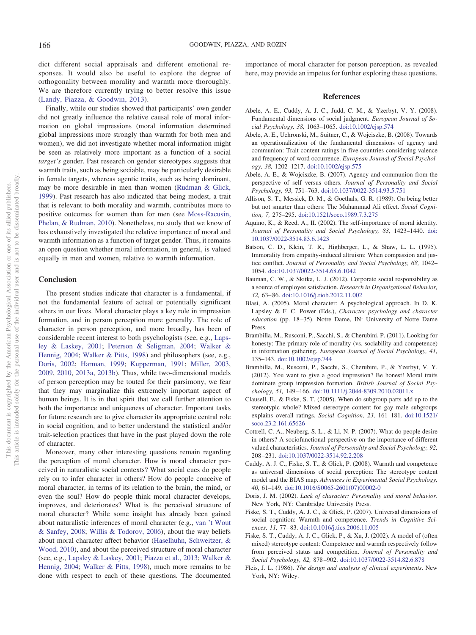<span id="page-18-16"></span>dict different social appraisals and different emotional responses. It would also be useful to explore the degree of orthogonality between morality and warmth more thoroughly. We are therefore currently trying to better resolve this issue [\(Landy, Piazza, & Goodwin, 2013\)](#page-19-27).

Finally, while our studies showed that participants' own gender did not greatly influence the relative causal role of moral information on global impressions (moral information determined global impressions more strongly than warmth for both men and women), we did not investigate whether moral information might be seen as relatively more important as a function of a social *target's* gender. Past research on gender stereotypes suggests that warmth traits, such as being sociable, may be particularly desirable in female targets, whereas agentic traits, such as being dominant, may be more desirable in men than women [\(Rudman & Glick,](#page-19-28) [1999\)](#page-19-28). Past research has also indicated that being modest, a trait that is relevant to both morality and warmth, contributes more to positive outcomes for women than for men (see [Moss-Racusin,](#page-19-29) [Phelan, & Rudman, 2010\)](#page-19-29). Nonetheless, no study that we know of has exhaustively investigated the relative importance of moral and warmth information as a function of target gender. Thus, it remains an open question whether moral information, in general, is valued equally in men and women, relative to warmth information.

# **Conclusion**

The present studies indicate that character is a fundamental, if not the fundamental feature of actual or potentially significant others in our lives. Moral character plays a key role in impression formation, and in person perception more generally. The role of character in person perception, and more broadly, has been of considerable recent interest to both psychologists (see, e.g., [Laps](#page-19-24)[ley & Laskey, 2001;](#page-19-24) [Peterson & Seligman, 2004;](#page-19-30) [Walker &](#page-19-21) [Hennig, 2004;](#page-19-21) [Walker & Pitts, 1998\)](#page-19-22) and philosophers (see, e.g., [Doris, 2002;](#page-18-17) [Harman, 1999;](#page-19-31) [Kupperman, 1991;](#page-19-0) [Miller, 2003,](#page-19-32) [2009,](#page-19-33) [2010,](#page-19-34) [2013a,](#page-19-35) [2013b\)](#page-19-36). Thus, while two-dimensional models of person perception may be touted for their parsimony, we fear that they may marginalize this extremely important aspect of human beings. It is in that spirit that we call further attention to both the importance and uniqueness of character. Important tasks for future research are to give character its appropriate central role in social cognition, and to better understand the statistical and/or trait-selection practices that have in the past played down the role of character.

Moreover, many other interesting questions remain regarding the perception of moral character. How is moral character perceived in naturalistic social contexts? What social cues do people rely on to infer character in others? How do people conceive of moral character, in terms of its relation to the brain, the mind, or even the soul? How do people think moral character develops, improves, and deteriorates? What is the perceived structure of moral character? While some insight has already been gained about naturalistic inferences of moral character (e.g., [van 't Wout](#page-19-37) [& Sanfey, 2008;](#page-19-37) [Willis & Todorov, 2006\)](#page-19-38), about the way beliefs about moral character affect behavior [\(Haselhuhn, Schweitzer, &](#page-19-39) [Wood, 2010\)](#page-19-39), and about the perceived structure of moral character (see, e.g., [Lapsley & Laskey, 2001;](#page-19-24) [Piazza et al., 2013;](#page-19-4) [Walker &](#page-19-21) [Hennig, 2004;](#page-19-21) [Walker & Pitts, 1998\)](#page-19-22), much more remains to be done with respect to each of these questions. The documented importance of moral character for person perception, as revealed here, may provide an impetus for further exploring these questions.

#### **References**

- <span id="page-18-10"></span>Abele, A. E., Cuddy, A. J. C., Judd, C. M., & Yzerbyt, V. Y. (2008). Fundamental dimensions of social judgment. *European Journal of Social Psychology, 38,* 1063–1065. [doi:10.1002/ejsp.574](http://dx.doi.org/10.1002/ejsp.574)
- <span id="page-18-9"></span>Abele, A. E., Uchronski, M., Suitner, C., & Wojciszke, B. (2008). Towards an operationalization of the fundamental dimensions of agency and communion: Trait content ratings in five countries considering valence and frequency of word occurrence. *European Journal of Social Psychology, 38,* 1202–1217. [doi:10.1002/ejsp.575](http://dx.doi.org/10.1002/ejsp.575)
- <span id="page-18-0"></span>Abele, A. E., & Wojciszke, B. (2007). Agency and communion from the perspective of self versus others. *Journal of Personality and Social Psychology, 93,* 751–763. [doi:10.1037/0022-3514.93.5.751](http://dx.doi.org/10.1037/0022-3514.93.5.751)
- <span id="page-18-3"></span>Allison, S. T., Messick, D. M., & Goethals, G. R. (1989). On being better but not smarter than others: The Muhammad Ali effect. *Social Cognition, 7,* 275–295. [doi:10.1521/soco.1989.7.3.275](http://dx.doi.org/10.1521/soco.1989.7.3.275)
- <span id="page-18-4"></span>Aquino, K., & Reed, A., II. (2002). The self-importance of moral identity. *Journal of Personality and Social Psychology, 83,* 1423–1440. [doi:](http://dx.doi.org/10.1037/0022-3514.83.6.1423) [10.1037/0022-3514.83.6.1423](http://dx.doi.org/10.1037/0022-3514.83.6.1423)
- <span id="page-18-15"></span>Batson, C. D., Klein, T. R., Highberger, L., & Shaw, L. L. (1995). Immorality from empathy-induced altruism: When compassion and justice conflict. *Journal of Personality and Social Psychology, 68,* 1042– 1054. [doi:10.1037/0022-3514.68.6.1042](http://dx.doi.org/10.1037/0022-3514.68.6.1042)
- <span id="page-18-13"></span>Bauman, C. W., & Skitka, L. J. (2012). Corporate social responsibility as a source of employee satisfaction. *Research in Organizational Behavior, 32,* 63– 86. [doi:10.1016/j.riob.2012.11.002](http://dx.doi.org/10.1016/j.riob.2012.11.002)
- <span id="page-18-2"></span>Blasi, A. (2005). Moral character: A psychological approach. In D. K. Lapsley & F. C. Power (Eds.), *Character psychology and character education* (pp. 18 –35). Notre Dame, IN: University of Notre Dame Press.
- <span id="page-18-12"></span>Brambilla, M., Rusconi, P., Sacchi, S., & Cherubini, P. (2011). Looking for honesty: The primary role of morality (vs. sociability and competence) in information gathering. *European Journal of Social Psychology, 41,* 135–143. [doi:10.1002/ejsp.744](http://dx.doi.org/10.1002/ejsp.744)
- <span id="page-18-11"></span>Brambilla, M., Rusconi, P., Sacchi, S., Cherubini, P., & Yzerbyt, V. Y. (2012). You want to give a good impression? Be honest! Moral traits dominate group impression formation. *British Journal of Social Psychology, 51,* 149 –166. [doi:10.1111/j.2044-8309.2010.02011.x](http://dx.doi.org/10.1111/j.2044-8309.2010.02011.x)
- <span id="page-18-8"></span>Clausell, E., & Fiske, S. T. (2005). When do subgroup parts add up to the stereotypic whole? Mixed stereotype content for gay male subgroups explains overall ratings. *Social Cognition, 23,* 161–181. [doi:10.1521/](http://dx.doi.org/10.1521/soco.23.2.161.65626) [soco.23.2.161.65626](http://dx.doi.org/10.1521/soco.23.2.161.65626)
- <span id="page-18-1"></span>Cottrell, C. A., Neuberg, S. L., & Li, N. P. (2007). What do people desire in others? A sociofunctional perspective on the importance of different valued characteristics. *Journal of Personality and Social Psychology, 92,* 208 –231. [doi:10.1037/0022-3514.92.2.208](http://dx.doi.org/10.1037/0022-3514.92.2.208)
- <span id="page-18-7"></span>Cuddy, A. J. C., Fiske, S. T., & Glick, P. (2008). Warmth and competence as universal dimensions of social perception: The stereotype content model and the BIAS map. *Advances in Experimental Social Psychology, 40,* 61–149. [doi:10.1016/S0065-2601\(07\)00002-0](http://dx.doi.org/10.1016/S0065-2601%2807%2900002-0)
- <span id="page-18-17"></span>Doris, J. M. (2002). *Lack of character: Personality and moral behavior*. New York, NY: Cambridge University Press.
- <span id="page-18-5"></span>Fiske, S. T., Cuddy, A. J. C., & Glick, P. (2007). Universal dimensions of social cognition: Warmth and competence. *Trends in Cognitive Sciences, 11,* 77– 83. [doi:10.1016/j.tics.2006.11.005](http://dx.doi.org/10.1016/j.tics.2006.11.005)
- <span id="page-18-6"></span>Fiske, S. T., Cuddy, A. J. C., Glick, P., & Xu, J. (2002). A model of (often mixed) stereotype content: Competence and warmth respectively follow from perceived status and competition. *Journal of Personality and Social Psychology, 82,* 878 –902. [doi:10.1037/0022-3514.82.6.878](http://dx.doi.org/10.1037/0022-3514.82.6.878)
- <span id="page-18-14"></span>Fleis, J. L. (1986). *The design and analysis of clinical experiments*. New York, NY: Wiley.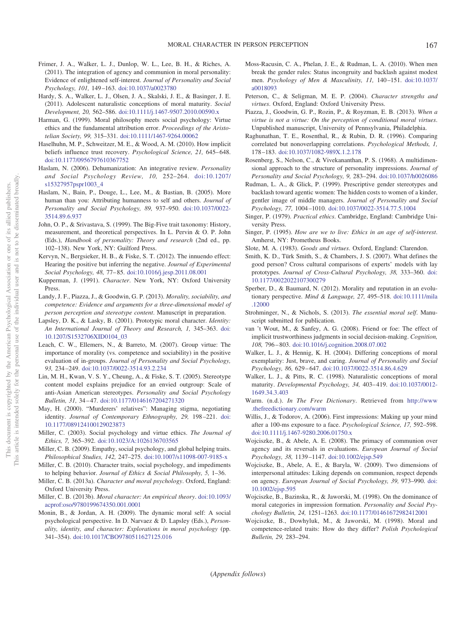- Frimer, J. A., Walker, L. J., Dunlop, W. L., Lee, B. H., & Riches, A. (2011). The integration of agency and communion in moral personality: Evidence of enlightened self-interest. *Journal of Personality and Social Psychology, 101,* 149 –163. [doi:10.1037/a0023780](http://dx.doi.org/10.1037/a0023780)
- <span id="page-19-19"></span>Hardy, S. A., Walker, L. J., Olsen, J. A., Skalski, J. E., & Basinger, J. E. (2011). Adolescent naturalistic conceptions of moral maturity. *Social Development, 20,* 562–586. [doi:10.1111/j.1467-9507.2010.00590.x](http://dx.doi.org/10.1111/j.1467-9507.2010.00590.x)
- <span id="page-19-31"></span>Harman, G. (1999). Moral philosophy meets social psychology: Virtue ethics and the fundamental attribution error. *Proceedings of the Aristotelian Society, 99,* 315–331. [doi:10.1111/1467-9264.00062](http://dx.doi.org/10.1111/1467-9264.00062)
- <span id="page-19-39"></span>Haselhuhn, M. P., Schweitzer, M. E., & Wood, A. M. (2010). How implicit beliefs influence trust recovery. *Psychological Science*, 21, 645–648. [doi:10.1177/0956797610367752](http://dx.doi.org/10.1177/0956797610367752)
- <span id="page-19-9"></span>Haslam, N. (2006). Dehumanization: An integrative review. *Personality and Social Psychology Review, 10,* 252–264. [doi:10.1207/](http://dx.doi.org/10.1207/s15327957pspr1003_4) [s15327957pspr1003\\_4](http://dx.doi.org/10.1207/s15327957pspr1003_4)
- <span id="page-19-10"></span>Haslam, N., Bain, P., Douge, L., Lee, M., & Bastian, B. (2005). More human than you: Attributing humanness to self and others. *Journal of Personality and Social Psychology, 89,* 937–950. [doi:10.1037/0022-](http://dx.doi.org/10.1037/0022-3514.89.6.937) [3514.89.6.937](http://dx.doi.org/10.1037/0022-3514.89.6.937)
- <span id="page-19-25"></span>John, O. P., & Srivastava, S. (1999). The Big-Five trait taxonomy: History, measurement, and theoretical perspectives. In L. Pervin & O. P. John (Eds.), *Handbook of personality: Theory and research* (2nd ed., pp. 102–138). New York, NY: Guilford Press.
- <span id="page-19-14"></span>Kervyn, N., Bergsieker, H. B., & Fiske, S. T. (2012). The innuendo effect: Hearing the positive but inferring the negative. *Journal of Experimental Social Psychology, 48,* 77– 85. [doi:10.1016/j.jesp.2011.08.001](http://dx.doi.org/10.1016/j.jesp.2011.08.001)
- <span id="page-19-0"></span>Kupperman, J. (1991). *Character*. New York, NY: Oxford University Press.
- <span id="page-19-27"></span>Landy, J. F., Piazza, J., & Goodwin, G. P. (2013). *Morality, sociability, and competence: Evidence and arguments for a three-dimensional model of person perception and stereotype content*. Manuscript in preparation.
- <span id="page-19-24"></span>Lapsley, D. K., & Lasky, B. (2001). Prototypic moral character. *Identity: An International Journal of Theory and Research, 1,* 345–363. [doi:](http://dx.doi.org/10.1207/S1532706XID0104_03) [10.1207/S1532706XID0104\\_03](http://dx.doi.org/10.1207/S1532706XID0104_03)
- <span id="page-19-3"></span>Leach, C. W., Ellemers, N., & Barreto, M. (2007). Group virtue: The importance of morality (vs. competence and sociability) in the positive evaluation of in-groups. *Journal of Personality and Social Psychology, 93,* 234 –249. [doi:10.1037/0022-3514.93.2.234](http://dx.doi.org/10.1037/0022-3514.93.2.234)
- <span id="page-19-15"></span>Lin, M. H., Kwan, V. S. Y., Cheung, A., & Fiske, S. T. (2005). Stereotype content model explains prejudice for an envied outgroup: Scale of anti-Asian American stereotypes. *Personality and Social Psychology Bulletin, 31,* 34 – 47. [doi:10.1177/0146167204271320](http://dx.doi.org/10.1177/0146167204271320)
- <span id="page-19-12"></span>May, H. (2000). "Murderers' relatives": Managing stigma, negotiating identity. *Journal of Contemporary Ethnography*, 29, 198-221. [doi:](http://dx.doi.org/10.1177/089124100129023873) [10.1177/089124100129023873](http://dx.doi.org/10.1177/089124100129023873)
- <span id="page-19-32"></span>Miller, C. (2003). Social psychology and virtue ethics. *The Journal of Ethics, 7,* 365–392. [doi:10.1023/A:1026136703565](http://dx.doi.org/10.1023/A:1026136703565)
- <span id="page-19-33"></span>Miller, C. B. (2009). Empathy, social psychology, and global helping traits. *Philosophical Studies, 142,* 247–275. [doi:10.1007/s11098-007-9185-x](http://dx.doi.org/10.1007/s11098-007-9185-x)
- <span id="page-19-34"></span>Miller, C. B. (2010). Character traits, social psychology, and impediments to helping behavior. *Journal of Ethics & Social Philosophy, 5,* 1–36.
- <span id="page-19-35"></span>Miller, C. B. (2013a). *Character and moral psychology*. Oxford, England: Oxford University Press.
- <span id="page-19-36"></span>Miller, C. B. (2013b). *Moral character: An empirical theory*. [doi:10.1093/](http://dx.doi.org/10.1093/acprof:oso/9780199674350.001.0001) [acprof:oso/9780199674350.001.0001](http://dx.doi.org/10.1093/acprof:oso/9780199674350.001.0001)
- <span id="page-19-5"></span>Monin, B., & Jordan, A. H. (2009). The dynamic moral self: A social psychological perspective. In D. Narvaez & D. Lapsley (Eds.), *Personality, identity, and character: Explorations in moral psychology* (pp. 341–354). [doi:10.1017/CBO9780511627125.016](http://dx.doi.org/10.1017/CBO9780511627125.016)
- <span id="page-19-29"></span>Moss-Racusin, C. A., Phelan, J. E., & Rudman, L. A. (2010). When men break the gender rules: Status incongruity and backlash against modest men. *Psychology of Men & Masculinity, 11,* 140 –151. [doi:10.1037/](http://dx.doi.org/10.1037/a0018093) [a0018093](http://dx.doi.org/10.1037/a0018093)
- <span id="page-19-30"></span>Peterson, C., & Seligman, M. E. P. (2004). *Character strengths and virtues*. Oxford, England: Oxford University Press.
- <span id="page-19-4"></span>Piazza, J., Goodwin, G. P., Rozin, P., & Royzman, E. B. (2013). *When a virtue is not a virtue: On the perception of conditional moral virtues*. Unpublished manuscript, University of Pennsylvania, Philadelphia.
- <span id="page-19-26"></span>Raghunathan, T. E., Rosenthal, R., & Rubin, D. R. (1996). Comparing correlated but nonoverlapping correlations. *Psychological Methods, 1,* 178 –183. [doi:10.1037/1082-989X.1.2.178](http://dx.doi.org/10.1037/1082-989X.1.2.178)
- <span id="page-19-13"></span>Rosenberg, S., Nelson, C., & Vivekananthan, P. S. (1968). A multidimensional approach to the structure of personality impressions. *Journal of Personality and Social Psychology, 9,* 283–294. [doi:10.1037/h0026086](http://dx.doi.org/10.1037/h0026086)
- <span id="page-19-28"></span>Rudman, L. A., & Glick, P. (1999). Prescriptive gender stereotypes and backlash toward agentic women: The hidden costs to women of a kinder, gentler image of middle managers. *Journal of Personality and Social Psychology, 77,* 1004 –1010. [doi:10.1037/0022-3514.77.5.1004](http://dx.doi.org/10.1037/0022-3514.77.5.1004)
- <span id="page-19-7"></span>Singer, P. (1979). *Practical ethics*. Cambridge, England: Cambridge University Press.
- <span id="page-19-8"></span>Singer, P. (1995). *How are we to live: Ethics in an age of self-interest*. Amherst, NY: Prometheus Books.
- <span id="page-19-23"></span>Slote, M. A. (1983). *Goods and virtues*. Oxford, England: Clarendon.
- <span id="page-19-20"></span>Smith, K. D., Türk Smith, S., & Chambers, J. S. (2007). What defines the good person? Cross cultural comparisons of experts' models with lay prototypes. *Journal of Cross-Cultural Psychology, 38,* 333–360. [doi:](http://dx.doi.org/10.1177/0022022107300279) [10.1177/0022022107300279](http://dx.doi.org/10.1177/0022022107300279)
- <span id="page-19-6"></span>Sperber, D., & Baumard, N. (2012). Morality and reputation in an evolutionary perspective. *Mind & Language, 27,* 495–518. [doi:10.1111/mila](http://dx.doi.org/10.1111/mila.12000) [.12000](http://dx.doi.org/10.1111/mila.12000)
- <span id="page-19-11"></span>Strohminger, N., & Nichols, S. (2013). *The essential moral self*. Manuscript submitted for publication.
- <span id="page-19-37"></span>van 't Wout, M., & Sanfey, A. G. (2008). Friend or foe: The effect of implicit trustworthiness judgments in social decision-making. *Cognition, 108,* 796 – 803. [doi:10.1016/j.cognition.2008.07.002](http://dx.doi.org/10.1016/j.cognition.2008.07.002)
- <span id="page-19-21"></span>Walker, L. J., & Hennig, K. H. (2004). Differing conceptions of moral exemplarity: Just, brave, and caring. *Journal of Personality and Social Psychology, 86,* 629 – 647. [doi:10.1037/0022-3514.86.4.629](http://dx.doi.org/10.1037/0022-3514.86.4.629)
- <span id="page-19-22"></span>Walker, L. J., & Pitts, R. C. (1998). Naturalistic conceptions of moral maturity. *Developmental Psychology, 34,* 403– 419. [doi:10.1037/0012-](http://dx.doi.org/10.1037/0012-1649.34.3.403) [1649.34.3.403](http://dx.doi.org/10.1037/0012-1649.34.3.403)
- <span id="page-19-18"></span>Warm. (n.d.). *In The Free Dictionary*. Retrieved from [http://www](http://www.thefreedictionary.com/warm) [.thefreedictionary.com/warm](http://www.thefreedictionary.com/warm)
- <span id="page-19-38"></span>Willis, J., & Todorov, A. (2006). First impressions: Making up your mind after a 100-ms exposure to a face. *Psychological Science, 17,* 592–598. [doi:10.1111/j.1467-9280.2006.01750.x](http://dx.doi.org/10.1111/j.1467-9280.2006.01750.x)
- <span id="page-19-16"></span>Wojciszke, B., & Abele, A. E. (2008). The primacy of communion over agency and its reversals in evaluations. *European Journal of Social Psychology, 38,* 1139 –1147. [doi:10.1002/ejsp.549](http://dx.doi.org/10.1002/ejsp.549)
- <span id="page-19-17"></span>Wojciszke, B., Abele, A. E., & Baryla, W. (2009). Two dimensions of interpersonal attitudes: Liking depends on communion, respect depends on agency. *European Journal of Social Psychology, 39,* 973–990. [doi:](http://dx.doi.org/10.1002/ejsp.595) [10.1002/ejsp.595](http://dx.doi.org/10.1002/ejsp.595)
- <span id="page-19-1"></span>Wojciszke, B., Bazinska, R., & Jaworski, M. (1998). On the dominance of moral categories in impression formation. *Personality and Social Psychology Bulletin, 24,* 1251–1263. [doi:10.1177/01461672982412001](http://dx.doi.org/10.1177/01461672982412001)
- <span id="page-19-2"></span>Wojciszke, B., Dowhyluk, M., & Jaworski, M. (1998). Moral and competence-related traits: How do they differ? *Polish Psychological Bulletin, 29,* 283–294.